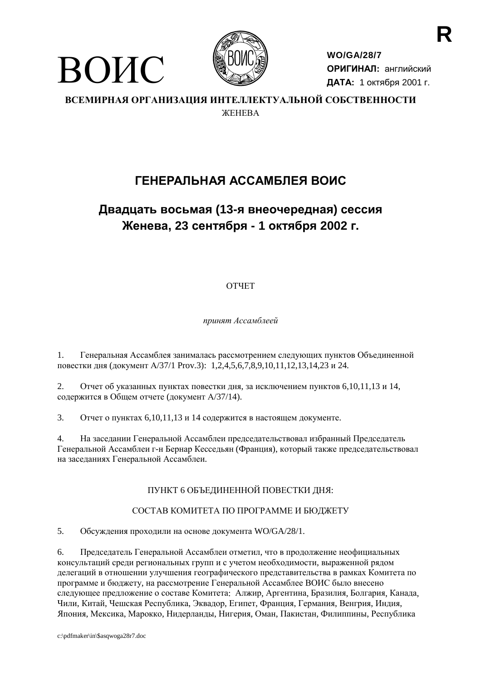



**WO/GA/28/7** ОРИГИНАЛ: английский ДАТА: 1 октября 2001 г.

ВСЕМИРНАЯ ОРГАНИЗАЦИЯ ИНТЕЛЛЕКТУАЛЬНОЙ СОБСТВЕННОСТИ *WEHEBA* 

# ГЕНЕРАЛЬНАЯ АССАМБЛЕЯ ВОИС

# Двадцать восьмая (13-я внеочередная) сессия Женева, 23 сентября - 1 октября 2002 г.

# **OTHET**

принят Ассамблеей

 $1<sub>1</sub>$ Генеральная Ассамблея занималась рассмотрением следующих пунктов Объединенной повестки дня (документ А/37/1 Prov.3): 1,2,4,5,6,7,8,9,10,11,12,13,14,23 и 24.

Отчет об указанных пунктах повестки дня, за исключением пунктов 6,10,11,13 и 14,  $2^{\circ}$ содержится в Общем отчете (документ А/37/14).

 $\overline{3}$ . Отчет о пунктах 6,10,11,13 и 14 содержится в настоящем документе.

 $\overline{4}$ . На заседании Генеральной Ассамблеи председательствовал избранный Председатель Генеральной Ассамблеи г-н Бернар Кесседьян (Франция), который также председательствовал на заседаниях Генеральной Ассамблеи.

# ПУНКТ 6 ОБЪЕДИНЕННОЙ ПОВЕСТКИ ДНЯ:

# СОСТАВ КОМИТЕТА ПО ПРОГРАММЕ И БЮДЖЕТУ

5. Обсуждения проходили на основе документа WO/GA/28/1.

6. Председатель Генеральной Ассамблеи отметил, что в продолжение неофициальных консультаций среди региональных групп и с учетом необходимости, выраженной рядом делегаций в отношении улучшения географического представительства в рамках Комитета по программе и бюджету, на рассмотрение Генеральной Ассамблее ВОИС было внесено следующее предложение о составе Комитета: Алжир, Аргентина, Бразилия, Болгария, Канада, Чили, Китай, Чешская Республика, Эквадор, Египет, Франция, Германия, Венгрия, Индия, Япония, Мексика, Марокко, Нидерланды, Нигерия, Оман, Пакистан, Филиппины, Республика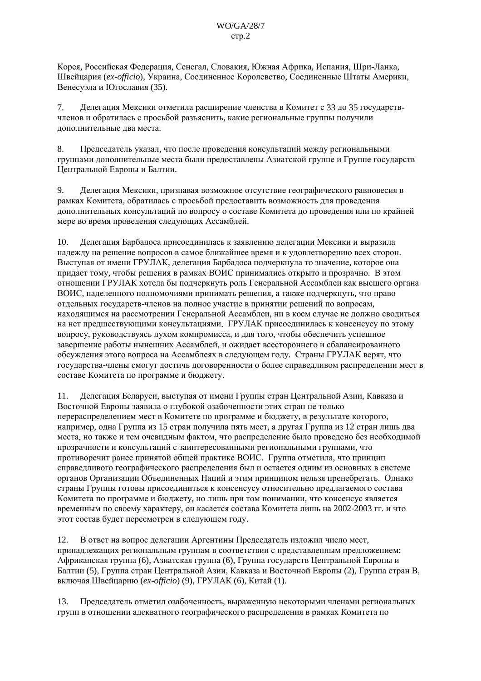Корея, Российская Федерация, Сенегал, Словакия, Южная Африка, Испания, Шри-Ланка, Швейцария (ex-officio), Украина, Соединенное Королевство, Соединенные Штаты Америки, Венесуэла и Югославия (35).

Делегация Мексики отметила расширение членства в Комитет с 33 до 35 государств-7. членов и обратилась с просьбой разъяснить, какие региональные группы получили дополнительные два места.

 $\mathbf{R}$ Председатель указал, что после проведения консультаций между региональными группами дополнительные места были предоставлены Азиатской группе и Группе государств Центральной Европы и Балтии.

9. Делегация Мексики, признавая возможное отсутствие географического равновесия в рамках Комитета, обратилась с просьбой предоставить возможность для проведения дополнительных консультаций по вопросу о составе Комитета до проведения или по крайней мере во время проведения следующих Ассамблей.

10. Делегация Барбадоса присоединилась к заявлению делегации Мексики и выразила надежду на решение вопросов в самое ближайшее время и к удовлетворению всех сторон. Выступая от имени ГРУЛАК, делегация Барбадоса подчеркнула то значение, которое она придает тому, чтобы решения в рамках ВОИС принимались открыто и прозрачно. В этом отношении ГРУЛАК хотела бы подчеркнуть роль Генеральной Ассамблеи как высшего органа ВОИС, наделенного полномочиями принимать решения, а также подчеркнуть, что право отдельных государств-членов на полное участие в принятии решений по вопросам, находящимся на рассмотрении Генеральной Ассамблеи, ни в коем случае не должно сводиться на нет предшествующими консультациями. ГРУЛАК присоединилась к консенсусу по этому вопросу, руководствуясь духом компромисса, и для того, чтобы обеспечить успешное завершение работы нынешних Ассамблей, и ожидает всестороннего и сбалансированного обсуждения этого вопроса на Ассамблеях в следующем году. Страны ГРУЛАК верят, что государства-члены смогут достичь договоренности о более справедливом распределении мест в составе Комитета по программе и бюджету.

Делегация Беларуси, выступая от имени Группы стран Центральной Азии, Кавказа и  $11.$ Восточной Европы заявила о глубокой озабоченности этих стран не только перераспределением мест в Комитете по программе и бюджету, в результате которого, например, одна Группа из 15 стран получила пять мест, а другая Группа из 12 стран лишь два места, но также и тем очевидным фактом, что распределение было проведено без необходимой прозрачности и консультаций с заинтересованными региональными группами, что противоречит ранее принятой общей практике ВОИС. Группа отметила, что принцип справедливого географического распределения был и остается одним из основных в системе органов Организации Объединенных Наций и этим принципом нельзя пренебрегать. Однако страны Группы готовы присоединиться к консенсусу относительно предлагаемого состава Комитета по программе и бюджету, но лишь при том понимании, что консенсус является временным по своему характеру, он касается состава Комитета лишь на 2002-2003 гг. и что этот состав будет пересмотрен в следующем году.

В ответ на вопрос делегации Аргентины Председатель изложил число мест,  $12.$ принадлежащих региональным группам в соответствии с представленным предложением: Африканская группа (6), Азиатская группа (6), Группа государств Центральной Европы и Балтии (5), Группа стран Центральной Азии, Кавказа и Восточной Европы (2), Группа стран В, включая Швейцарию (ex-officio) (9), ГРУЛАК (6), Китай (1).

Председатель отметил озабоченность, выраженную некоторыми членами региональных 13. групп в отношении адекватного географического распределения в рамках Комитета по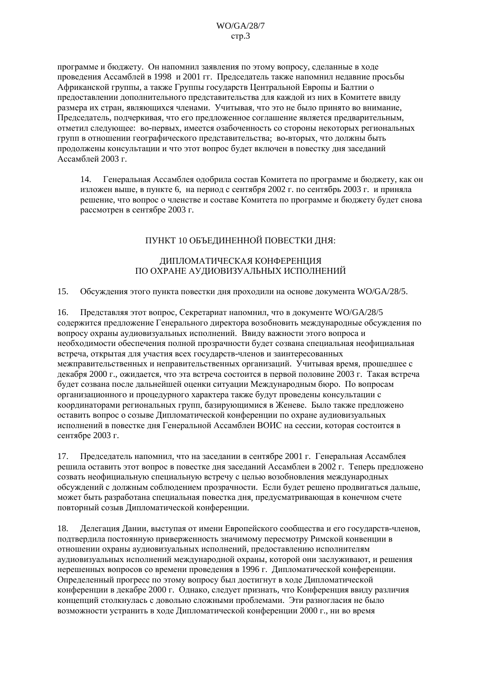программе и бюджету. Он напомнил заявления по этому вопросу, сделанные в ходе проведения Ассамблей в 1998 и 2001 гг. Председатель также напомнил недавние просьбы Африканской группы, а также Группы государств Центральной Европы и Балтии о предоставлении дополнительного представительства для каждой из них в Комитете ввиду размера их стран, являющихся членами. Учитывая, что это не было принято во внимание, Председатель, подчеркивая, что его предложенное соглашение является предварительным, отметил следующее: во-первых, имеется озабоченность со стороны некоторых региональных групп в отношении географического прелставительства: во-вторых, что лолжны быть продолжены консультации и что этот вопрос будет включен в повестку дня заседаний Ассамблей 2003 г.

Генеральная Ассамблея одобрила состав Комитета по программе и бюджету, как он  $14.$ изложен выше, в пункте 6, на период с сентября 2002 г. по сентябрь 2003 г. и приняла решение, что вопрос о членстве и составе Комитета по программе и бюджету будет снова рассмотрен в сентябре 2003 г.

### ПУНКТ 10 ОБЪЕДИНЕННОЙ ПОВЕСТКИ ДНЯ:

#### ДИПЛОМАТИЧЕСКАЯ КОНФЕРЕНЦИЯ ПО ОХРАНЕ АУДИОВИЗУАЛЬНЫХ ИСПОЛНЕНИЙ

15. Обсуждения этого пункта повестки дня проходили на основе документа WO/GA/28/5.

Представляя этот вопрос, Секретариат напомнил, что в документе WO/GA/28/5 16. содержится предложение Генерального директора возобновить международные обсуждения по вопросу охраны аудиовизуальных исполнений. Ввиду важности этого вопроса и необходимости обеспечения полной прозрачности будет созвана специальная неофициальная встреча, открытая для участия всех государств-членов и заинтересованных межправительственных и неправительственных организаций. Учитывая время, прошедшее с декабря 2000 г., ожидается, что эта встреча состоится в первой половине 2003 г. Такая встреча будет созвана после дальнейшей оценки ситуации Международным бюро. По вопросам организационного и процедурного характера также будут проведены консультации с координаторами региональных групп, базирующимися в Женеве. Было также предложено оставить вопрос о созыве Дипломатической конференции по охране аудиовизуальных исполнений в повестке дня Генеральной Ассамблеи ВОИС на сессии, которая состоится в сентябре 2003 г.

Председатель напомнил, что на заседании в сентябре 2001 г. Генеральная Ассамблея 17. решила оставить этот вопрос в повестке лня заселаний Ассамблеи в 2002 г. Теперь предложено созвать неофициальную специальную встречу с целью возобновления международных обсуждений с должным соблюдением прозрачности. Если будет решено продвигаться дальше, может быть разработана специальная повестка дня, предусматривающая в конечном счете повторный созыв Дипломатической конференции.

18. Делегация Дании, выступая от имени Европейского сообщества и его государств-членов, подтвердила постоянную приверженность значимому пересмотру Римской конвенции в отношении охраны аудиовизуальных исполнений, предоставлению исполнителям аудиовизуальных исполнений международной охраны, которой они заслуживают, и решения нерешенных вопросов со времени проведения в 1996 г. Дипломатической конференции. Определенный прогресс по этому вопросу был достигнут в ходе Дипломатической конференции в декабре 2000 г. Однако, следует признать, что Конференция ввиду различия концепций столкнулась с довольно сложными проблемами. Эти разногласия не было возможности устранить в ходе Липломатической конференции 2000 г. ни во время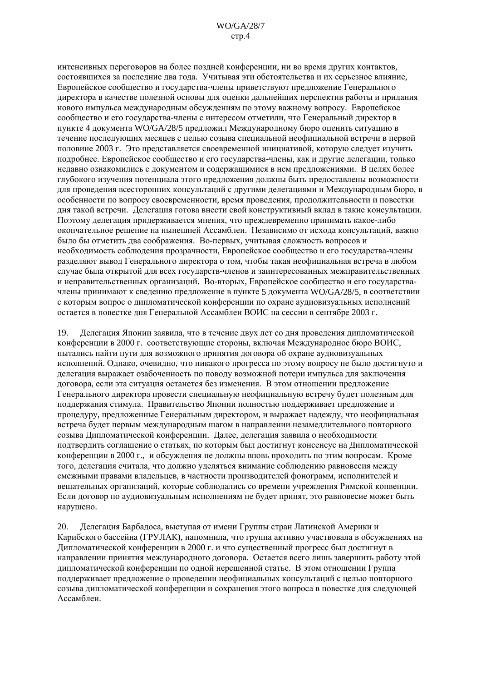интенсивных переговоров на более поздней конференции, ни во время других контактов, состоявшихся за последние два года. Учитывая эти обстоятельства и их серьезное влияние, Европейское сообщество и государства-члены приветствуют предложение Генерального лиректора в качестве полезной основы для оценки дальнейших перспектив работы и придания нового импульса международным обсуждениям по этому важному вопросу. Европейское сообщество и его государства-члены с интересом отметили, что Генеральный директор в пункте 4 документа WO/GA/28/5 предложил Международному бюро оценить ситуацию в течение послелующих месяцев с целью созыва специальной неофициальной встречи в первой половине 2003 г. Это представляется своевременной инициативой, которую следует изучить подробнее. Европейское сообщество и его государства-члены, как и другие делегации, только недавно ознакомились с документом и содержащимися в нем предложениями. В целях более глубокого изучения потенциала этого предложения должны быть предоставлены возможности для проведения всесторонних консультаций с другими делегациями и Международным бюро, в особенности по вопросу своевременности, время проведения, продолжительности и повестки дня такой встречи. Делегация готова внести свой конструктивный вклад в такие консультации. Поэтому лелегация придерживается мнения, что преждевременно принимать какое-либо окончательное решение на нынешней Ассамблеи. Независимо от исхода консультаций, важно было бы отметить два соображения. Во-первых, учитывая сложность вопросов и необходимость соблюдения прозрачности, Европейское сообщество и его государства-члены разделяют вывод Генерального директора о том, чтобы такая неофициальная встреча в любом случае была открытой для всех государств-членов и заинтересованных межправительственных и неправительственных организаций. Во-вторых, Европейское сообщество и его государствачлены принимают к сведению предложение в пункте 5 документа WO/GA/28/5, в соответствии с которым вопрос о дипломатической конференции по охране аудиовизуальных исполнений остается в повестке дня Генеральной Ассамблеи ВОИС на сессии в сентябре 2003 г.

19. Лелегация Японии заявила, что в течение лвух лет со дня проведения дипломатической конференции в 2000 г. соответствующие стороны, включая Международное бюро ВОИС. пытались найти пути для возможного принятия договора об охране аудиовизуальных исполнений. Однако, очевидно, что никакого прогресса по этому вопросу не было достигнуто и делегация выражает озабоченность по поводу возможной потери импульса для заключения договора, если эта ситуация останется без изменения. В этом отношении предложение Генерального директора провести специальную неофициальную встречу будет полезным для поддержания стимула. Правительство Японии полностью поддерживает предложение и процедуру, предложенные Генеральным директором, и выражает надежду, что неофициальная встреча будет первым международным шагом в направлении незамедлительного повторного созыва Дипломатической конференции. Далее, делегация заявила о необходимости подтвердить соглашение о статьях, по которым был достигнут консенсус на Дипломатической конференции в 2000 г., и обсуждения не должны вновь проходить по этим вопросам. Кроме того, делегация считала, что должно уделяться внимание соблюдению равновесия между смежными правами владельцев, в частности производителей фонограмм, исполнителей и вешательных организаций, которые соблюдались со времени учреждения Римской конвенции. Если договор по аудиовизуальным исполнениям не будет принят, это равновесие может быть нарушено.

Делегация Барбадоса, выступая от имени Группы стран Латинской Америки и 20. Карибского бассейна (ГРУЛАК), напомнила, что группа активно участвовала в обсуждениях на Дипломатической конференции в 2000 г. и что существенный прогресс был достигнут в направлении принятия международного договора. Остается всего лишь завершить работу этой дипломатической конференции по одной нерешенной статье. В этом отношении Группа поддерживает предложение о проведении неофициальных консультаций с целью повторного созыва дипломатической конференции и сохранения этого вопроса в повестке дня следующей Ассамблеи.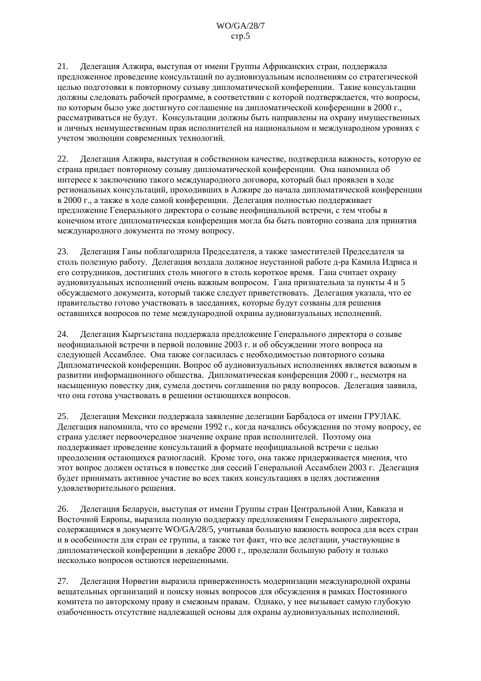Делегация Алжира, выступая от имени Группы Африканских стран, поддержала  $21.$ предложенное проведение консультаций по аудиовизуальным исполнениям со стратегической целью подготовки к повторному созыву дипломатической конференции. Такие консультации должны следовать рабочей программе, в соответствии с которой подтверждается, что вопросы, по которым было уже достигнуто соглашение на дипломатической конференции в 2000 г., рассматриваться не будут. Консультации должны быть направлены на охрану имущественных и личных неимущественным прав исполнителей на национальном и международном уровнях с учетом эволюции современных технологий.

22. Делегация Алжира, выступая в собственном качестве, подтвердила важность, которую ее страна придает повторному созыву дипломатической конференции. Она напомнила об интересе к заключению такого международного договора, который был проявлен в ходе региональных консультаций, проходивших в Алжире до начала дипломатической конференции в 2000 г., а также в ходе самой конференции. Делегация полностью поддерживает предложение Генерального директора о созыве неофициальной встречи, с тем чтобы в конечном итоге дипломатическая конференция могла бы быть повторно созвана для принятия международного документа по этому вопросу.

23. Делегация Ганы поблагодарила Председателя, а также заместителей Председателя за столь полезную работу. Делегация воздала должное неустанной работе д-ра Камила Идриса и его сотрудников, достигших столь многого в столь короткое время. Гана считает охрану аудиовизуальных исполнений очень важным вопросом. Гана признательна за пункты 4 и 5 обсуждаемого документа, который также следует приветствовать. Делегация указала, что ее правительство готово участвовать в заседаниях, которые будут созваны для решения оставшихся вопросов по теме международной охраны аудиовизуальных исполнений.

Делегация Кыргызстана поддержала предложение Генерального директора о созыве 24. неофициальной встречи в первой половине 2003 г. и об обсуждении этого вопроса на следующей Ассамблее. Она также согласилась с необходимостью повторного созыва Дипломатической конференции. Вопрос об аудиовизуальных исполнениях является важным в развитии информационного общества. Дипломатическая конференция 2000 г., несмотря на насышенную повестку дня, сумела достичь соглашения по ряду вопросов. Делегация заявила, что она готова участвовать в решении остающихся вопросов.

Делегация Мексики поддержала заявление делегации Барбадоса от имени ГРУЛАК.  $25.$ Делегация напомнила, что со времени 1992 г., когда начались обсуждения по этому вопросу, ее страна уделяет первоочередное значение охране прав исполнителей. Поэтому она поддерживает проведение консультаций в формате неофициальной встречи с целью преодоления остающихся разногласий. Кроме того, она также придерживается мнения, что этот вопрос должен остаться в повестке дня сессий Генеральной Ассамблеи 2003 г. Делегация будет принимать активное участие во всех таких консультациях в целях достижения удовлетворительного решения.

Делегация Беларуси, выступая от имени Группы стран Центральной Азии, Кавказа и 26. Восточной Европы, выразила полную поллержку предложениям Генерального директора. содержащимся в документе WO/GA/28/5, учитывая большую важность вопроса для всех стран и в особенности для стран ее группы, а также тот факт, что все делегации, участвующие в дипломатической конференции в декабре 2000 г., проделали большую работу и только несколько вопросов остаются нерешенными.

27. Делегация Норвегии выразила приверженность модернизации международной охраны вещательных организаций и поиску новых вопросов для обсуждения в рамках Постоянного комитета по авторскому праву и смежным правам. Однако, у нее вызывает самую глубокую озабоченность отсутствие надлежащей основы для охраны аудиовизуальных исполнений.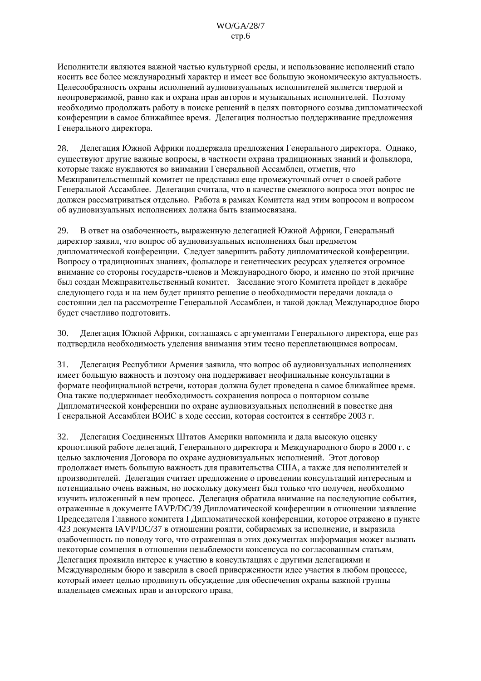Исполнители являются важной частью культурной среды, и использование исполнений стало носить все более международный характер и имеет все большую экономическую актуальность. Целесообразность охраны исполнений аудиовизуальных исполнителей является твердой и неопровержимой, равно как и охрана прав авторов и музыкальных исполнителей. Поэтому необходимо продолжать работу в поиске решений в целях повторного созыва дипломатической конференции в самое ближайшее время. Делегация полностью поддерживание предложения Генерального директора.

Лелегация Южной Африки поддержала предложения Генерального директора. Однако. 28 существуют другие важные вопросы, в частности охрана традиционных знаний и фольклора, которые также нуждаются во внимании Генеральной Ассамблеи, отметив, что Межправительственный комитет не представил еще промежуточный отчет о своей работе Генеральной Ассамблее. Делегация считала, что в качестве смежного вопроса этот вопрос не должен рассматриваться отдельно. Работа в рамках Комитета над этим вопросом и вопросом об аудиовизуальных исполнениях должна быть взаимосвязана.

29. В ответ на озабоченность, выраженную делегацией Южной Африки, Генеральный лиректор заявил, что вопрос об аулиовизуальных исполнениях был прелметом дипломатической конференции. Следует завершить работу дипломатической конференции. Вопросу о традиционных знаниях, фольклоре и генетических ресурсах уделяется огромное внимание со стороны государств-членов и Международного бюро, и именно по этой причине был создан Межправительственный комитет. Заседание этого Комитета пройдет в декабре следующего года и на нем будет принято решение о необходимости передачи доклада о состоянии дел на рассмотрение Генеральной Ассамблеи, и такой доклад Международное бюро будет счастливо подготовить.

30. Делегация Южной Африки, соглашаясь с аргументами Генерального директора, еще раз подтвердила необходимость уделения внимания этим тесно переплетающимся вопросам.

Делегация Республики Армения заявила, что вопрос об аудиовизуальных исполнениях  $31.$ имеет большую важность и поэтому она поддерживает неофициальные консультации в формате неофициальной встречи, которая должна будет проведена в самое ближайшее время. Она также поддерживает необходимость сохранения вопроса о повторном созыве Дипломатической конференции по охране аудиовизуальных исполнений в повестке дня Генеральной Ассамблеи ВОИС в ходе сессии, которая состоится в сентябре 2003 г.

32. Делегация Соединенных Штатов Америки напомнила и дала высокую оценку кропотливой работе лелегаций. Генерального лиректора и Международного бюро в 2000 г. с целью заключения Договора по охране аудиовизуальных исполнений. Этот договор продолжает иметь большую важность для правительства США, а также для исполнителей и производителей. Делегация считает предложение о проведении консультаций интересным и потенциально очень важным, но поскольку документ был только что получен, необходимо изучить изложенный в нем процесс. Делегация обратила внимание на последующие события, отраженные в документе IAVP/DC/39 Дипломатической конференции в отношении заявление Председателя Главного комитета I Дипломатической конференции, которое отражено в пункте 423 документа IAVP/DC/37 в отношении роялти, собираемых за исполнение, и выразила озабоченность по поводу того, что отраженная в этих документах информация может вызвать некоторые сомнения в отношении незыблемости консенсуса по согласованным статьям. Делегация проявила интерес к участию в консультациях с другими делегациями и Международным бюро и заверила в своей приверженности идее участия в любом процессе, который имеет целью продвинуть обсуждение для обеспечения охраны важной группы владельцев смежных прав и авторского права.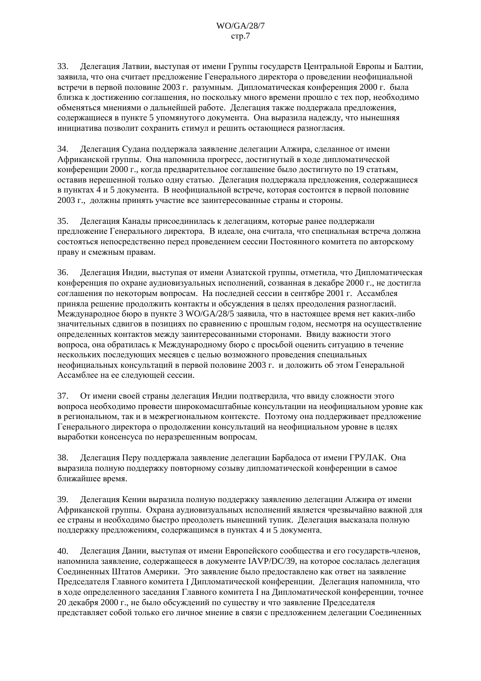Делегация Латвии, выступая от имени Группы государств Центральной Европы и Балтии, 33. заявила, что она считает предложение Генерального директора о проведении неофициальной встречи в первой половине 2003 г. разумным. Дипломатическая конференция 2000 г. была близка к лостижению соглашения, но поскольку много времени прошло с тех пор, необходимо обменяться мнениями о дальнейшей работе. Делегация также поддержала предложения, содержащиеся в пункте 5 упомянутого документа. Она выразила надежду, что нынешняя инициатива позволит сохранить стимул и решить остающиеся разногласия.

 $34.$ Делегация Судана поддержала заявление делегации Алжира, сделанное от имени Африканской группы. Она напомнила прогресс, лостигнутый в холе липломатической конференции 2000 г., когда предварительное соглашение было достигнуто по 19 статьям, оставив нерешенной только одну статью. Делегация поддержала предложения, содержащиеся в пунктах 4 и 5 документа. В неофициальной встрече, которая состоится в первой половине 2003 г., должны принять участие все заинтересованные страны и стороны.

Делегация Канады присоединилась к делегациям, которые ранее поддержали 35. предложение Генерального директора. В идеале, она считала, что специальная встреча должна состояться непосредственно перед проведением сессии Постоянного комитета по авторскому праву и смежным правам.

 $36<sup>2</sup>$ Делегация Инлии, выступая от имени Азиатской группы, отметила, что Липломатическая конференция по охране аудиовизуальных исполнений, созванная в декабре 2000 г., не достигла соглашения по некоторым вопросам. На последней сессии в сентябре 2001 г. Ассамблея приняла решение продолжить контакты и обсуждения в целях преодоления разногласий. Международное бюро в пункте 3 WO/GA/28/5 заявила, что в настоящее время нет каких-либо значительных сдвигов в позициях по сравнению с прошлым годом, несмотря на осуществление определенных контактов между заинтересованными сторонами. Ввиду важности этого вопроса, она обратилась к Международному бюро с просьбой оценить ситуацию в течение нескольких последующих месяцев с целью возможного проведения специальных неофициальных консультаций в первой половине 2003 г. и доложить об этом Генеральной Ассамблее на ее следующей сессии.

От имени своей страны делегация Индии подтвердила, что ввиду сложности этого 37. вопроса необходимо провести широкомасштабные консультации на неофициальном уровне как в региональном, так и в межрегиональном контексте. Поэтому она поддерживает предложение Генерального директора о продолжении консультаций на неофициальном уровне в целях выработки консенсуса по неразрешенным вопросам.

38. Делегация Перу поддержала заявление делегации Барбадоса от имени ГРУЛАК. Она выразила полную поддержку повторному созыву дипломатической конференции в самое ближайшее время.

Делегация Кении выразила полную поддержку заявлению делегации Алжира от имени 39. Африканской группы. Охрана аудиовизуальных исполнений является чрезвычайно важной для ее страны и необходимо быстро преодолеть нынешний тупик. Делегация высказала полную поддержку предложениям, содержащимся в пунктах 4 и 5 документа.

Делегация Дании, выступая от имени Европейского сообщества и его государств-членов,  $40.$ напомнила заявление, содержащееся в документе IAVP/DC/39, на которое сослалась делегация Соелиненных Штатов Америки. Это заявление было предоставлено как ответ на заявление Председателя Главного комитета I Дипломатической конференции. Делегация напомнила, что в ходе определенного заседания Главного комитета I на Дипломатической конференции, точнее 20 декабря 2000 г., не было обсуждений по существу и что заявление Председателя представляет собой только его личное мнение в связи с предложением делегации Соединенных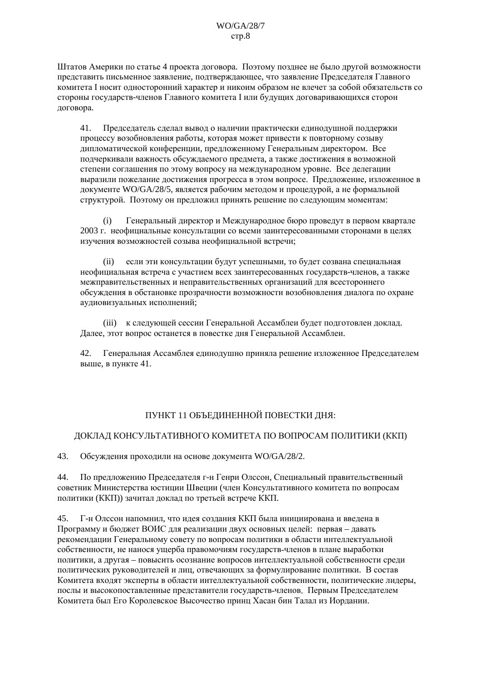Штатов Америки по статье 4 проекта договора. Поэтому позднее не было другой возможности представить письменное заявление, подтверждающее, что заявление Председателя Главного комитета I носит односторонний характер и никоим образом не влечет за собой обязательств со стороны государств-членов Главного комитета I или будущих договаривающихся сторон договора.

Председатель сделал вывод о наличии практически единодушной поддержки 41. процессу возобновления работы, которая может привести к повторному созыву дипломатической конференции, предложенному Генеральным директором. Все подчеркивали важность обсуждаемого предмета, а также достижения в возможной степени соглашения по этому вопросу на международном уровне. Все делегации выразили пожелание лостижения прогресса в этом вопросе. Предложение, изложенное в документе WO/GA/28/5, является рабочим методом и процедурой, а не формальной структурой. Поэтому он предложил принять решение по следующим моментам:

Генеральный директор и Международное бюро проведут в первом квартале  $(i)$ 2003 г. неофициальные консультации со всеми заинтересованными сторонами в целях изучения возможностей созыва неофициальной встречи:

(ii) если эти консультации будут успешными, то будет созвана специальная неофициальная встреча с участием всех заинтересованных государств-членов, а также межправительственных и неправительственных организаций для всестороннего обсуждения в обстановке прозрачности возможности возобновления диалога по охране аудиовизуальных исполнений;

(iii) к следующей сессии Генеральной Ассамблеи будет подготовлен доклад. Далее, этот вопрос останется в повестке дня Генеральной Ассамблеи.

42. Генеральная Ассамблея единодушно приняла решение изложенное Председателем выше, в пункте 41.

# ПУНКТ 11 ОБЪЕДИНЕННОЙ ПОВЕСТКИ ДНЯ:

### ДОКЛАД КОНСУЛЬТАТИВНОГО КОМИТЕТА ПО ВОПРОСАМ ПОЛИТИКИ (ККП)

43. Обсуждения проходили на основе документа WO/GA/28/2.

 $44$ По предложению Председателя г-н Генри Олссон, Специальный правительственный советник Министерства юстиции Швеции (член Консультативного комитета по вопросам политики (ККП)) зачитал доклад по третьей встрече ККП.

45. Г-н Олссон напомнил, что идея создания ККП была инициирована и введена в Программу и бюджет ВОИС для реализации двух основных целей: первая – давать рекомендации Генеральному совету по вопросам политики в области интеллектуальной собственности, не нанося ущерба правомочиям государств-членов в плане выработки политики, а другая - повысить осознание вопросов интеллектуальной собственности среди политических руководителей и лиц, отвечающих за формулирование политики. В состав Комитета входят эксперты в области интеллектуальной собственности, политические лидеры, послы и высокопоставленные представители государств-членов. Первым Председателем Комитета был Его Королевское Высочество принц Хасан бин Талал из Иордании.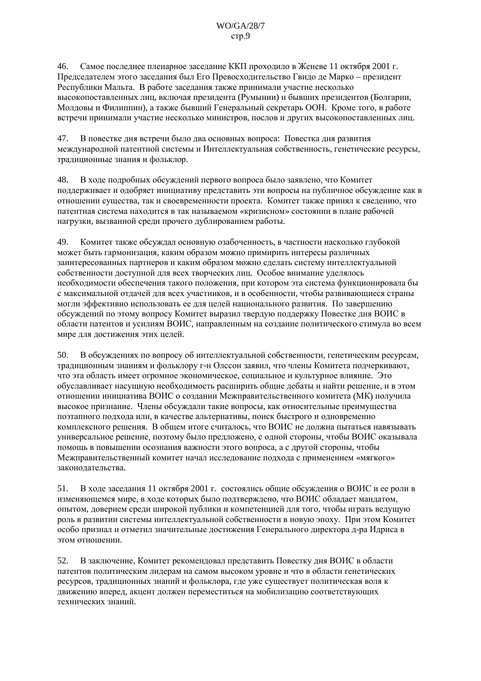Самое последнее пленарное заседание ККП проходило в Женеве 11 октября 2001 г.  $46.$ Председателем этого заседания был Его Превосходительство Гвидо де Марко – президент Республики Мальта. В работе заседания также принимали участие несколько высокопоставленных лиц. включая презилента (Румынии) и бывших презилентов (Болгарии, Молдовы и Филиппин), а также бывший Генеральный секретарь ООН. Кроме того, в работе встречи принимали участие несколько министров, послов и других высокопоставленных лиц.

47. В повестке дня встречи было два основных вопроса: Повестка дня развития международной патентной системы и Интеллектуальная собственность, генетические ресурсы, тралиционные знания и фольклор.

48. В ходе подробных обсуждений первого вопроса было заявлено, что Комитет поддерживает и одобряет инициативу представить эти вопросы на публичное обсуждение как в отношении существа, так и своевременности проекта. Комитет также принял к сведению, что патентная система нахолится в так называемом «кризисном» состоянии в плане рабочей нагрузки, вызванной среди прочего дублированием работы.

49. Комитет также обсуждал основную озабоченность, в частности насколько глубокой может быть гармонизация, каким образом можно примирить интересы различных заинтересованных партнеров и каким образом можно сделать систему интеллектуальной собственности доступной для всех творческих лиц. Особое внимание уделялось необходимости обеспечения такого положения, при котором эта система функционировала бы с максимальной отдачей для всех участников, и в особенности, чтобы развивающиеся страны могли эффективно использовать ее для целей национального развития. По завершению обсуждений по этому вопросу Комитет выразил твердую поддержку Повестке дня ВОИС в области патентов и усилиям ВОИС, направленным на создание политического стимула во всем мире для достижения этих целей.

 $50<sub>1</sub>$ В обсуждениях по вопросу об интеллектуальной собственности, генетическим ресурсам, тралиционным знаниям и фольклору г-н Олесон заявил, что члены Комитета полчеркивают, что эта область имеет огромное экономическое, социальное и культурное влияние. Это обуславливает насушную необхолимость расширить общие лебаты и найти решение, и в этом отношении инициатива ВОИС о создании Межправительственного комитета (МК) получила высокое признание. Члены обсуждали такие вопросы, как относительные преимущества поэтапного подхода или, в качестве альтернативы, поиск быстрого и одновременно комплексного решения. В общем итоге считалось, что ВОИС не должна пытаться навязывать универсальное решение, поэтому было предложено, с одной стороны, чтобы ВОИС оказывала помошь в повышении осознания важности этого вопроса, а с лругой стороны, чтобы Межправительственный комитет начал исследование подхода с применением «мягкого» законолательства.

В ходе заседания 11 октября 2001 г. состоялись общие обсуждения о ВОИС и ее роли в  $51.$ изменяющемся мире, в ходе которых было подтверждено, что ВОИС обладает мандатом, опытом, доверием среди широкой публики и компетенцией для того, чтобы играть ведущую роль в развитии системы интеллектуальной собственности в новую эпоху. При этом Комитет особо признал и отметил значительные достижения Генерального директора д-ра Идриса в этом отношении.

 $52.$ В заключение, Комитет рекомендовал представить Повестку дня ВОИС в области патентов политическим лидерам на самом высоком уровне и что в области генетических ресурсов, традиционных знаний и фольклора, где уже существует политическая воля к движению вперед, акцент должен переместиться на мобилизацию соответствующих технических знаний.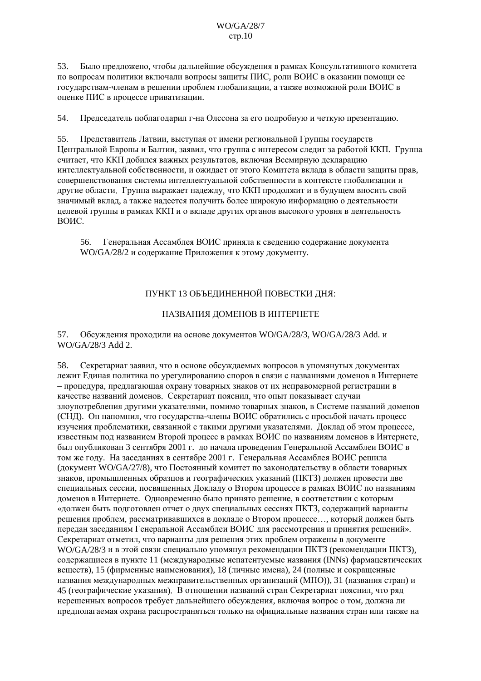#### $WO/GA/28/7$  $crp.10$

Было предложено, чтобы дальнейшие обсуждения в рамках Консультативного комитета 53. по вопросам политики включали вопросы защиты ПИС, роли ВОИС в оказании помощи ее государствам-членам в решении проблем глобализации, а также возможной роли ВОИС в оценке ПИС в процессе приватизации.

54. Председатель поблагодарил г-на Олссона за его подробную и четкую презентацию.

55 Представитель Латвии, выступая от имени региональной Группы государств Пентральной Европы и Балтии, заявил, что группа с интересом следит за работой ККП. Группа считает, что ККП добился важных результатов, включая Всемирную декларацию интеллектуальной собственности, и ожидает от этого Комитета вклада в области защиты прав, совершенствования системы интеллектуальной собственности в контексте глобализации и другие области. Группа выражает надежду, что ККП продолжит и в будущем вносить свой значимый вклад, а также надеется получить более широкую информацию о деятельности целевой группы в рамках ККП и о вкладе других органов высокого уровня в деятельность воис.

56. Генеральная Ассамблея ВОИС приняла к сведению содержание документа WO/GA/28/2 и содержание Приложения к этому документу.

## ПУНКТ 13 ОБЪЕДИНЕННОЙ ПОВЕСТКИ ДНЯ:

### НАЗВАНИЯ ДОМЕНОВ В ИНТЕРНЕТЕ

57 Обсуждения проходили на основе документов WO/GA/28/3, WO/GA/28/3 Add. и WO/GA/28/3 Add 2.

Секретариат заявил, что в основе обсужлаемых вопросов в упомянутых локументах 58. лежит Единая политика по урегулированию споров в связи с названиями доменов в Интернете - процедура, предлагающая охрану товарных знаков от их неправомерной регистрации в качестве названий доменов. Секретариат пояснил, что опыт показывает случаи злоупотребления другими указателями, помимо товарных знаков, в Системе названий доменов (СНД). Он напомнил, что государства-члены ВОИС обратились с просьбой начать процесс изучения проблематики, связанной с такими другими указателями. Доклад об этом процессе, известным под названием Второй процесс в рамках ВОИС по названиям доменов в Интернете, был опубликован 3 сентября 2001 г. до начала провеления Генеральной Ассамблеи ВОИС в том же году. На заседаниях в сентябре 2001 г. Генеральная Ассамблея ВОИС решила (документ WO/GA/27/8), что Постоянный комитет по законодательству в области товарных знаков, промышленных образцов и географических указаний (ПКТЗ) должен провести две специальных сессии, посвященных Докладу о Втором процессе в рамках ВОИС по названиям доменов в Интернете. Одновременно было принято решение, в соответствии с которым «должен быть подготовлен отчет о двух специальных сессиях ПКТЗ, содержащий варианты решения проблем, рассматривавшихся в локладе о Втором процессе..., который должен быть передан заселаниям Генеральной Ассамблеи ВОИС для рассмотрения и принятия решений». Секретариат отметил, что варианты для решения этих проблем отражены в документе WO/GA/28/3 и в этой связи специально упомянул рекомендации ПКТЗ (рекомендации ПКТЗ), содержащиеся в пункте 11 (международные непатентуемые названия (INNs) фармацевтических веществ), 15 (фирменные наименования), 18 (личные имена), 24 (полные и сокращенные названия международных межправительственных организаций (МПО)), 31 (названия стран) и 45 (географические указания). В отношении названий стран Секретариат пояснил, что ряд нерешенных вопросов требует дальнейшего обсуждения, включая вопрос о том, должна ли предполагаемая охрана распространяться только на официальные названия стран или также на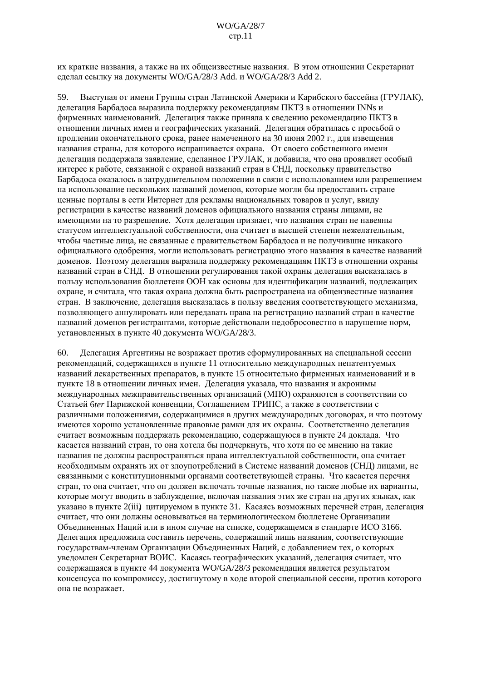#### $WO/GA/28/7$  $crp.11$

их краткие названия, а также на их общеизвестные названия. В этом отношении Секретариат сделал ссылку на документы WO/GA/28/3 Add. и WO/GA/28/3 Add 2.

59. Выступая от имени Группы стран Латинской Америки и Карибского бассейна (ГРУЛАК), делегация Барбадоса выразила поддержку рекомендациям ПКТЗ в отношении INNs и фирменных наименований. Делегация также приняла к сведению рекомендацию ПКТЗ в отношении личных имен и географических указаний. Делегация обратилась с просьбой о продлении окончательного срока, ранее намеченного на 30 июня 2002 г., для извешения названия страны, для которого испрашивается охрана. От своего собственного имени делегация поддержала заявление, сделанное ГРУЛАК, и добавила, что она проявляет особый интерес к работе, связанной с охраной названий стран в СНД, поскольку правительство Барбалоса оказалось в затруднительном положении в связи с использованием или разрешением на использование нескольких названий доменов, которые могли бы предоставить стране ценные порталы в сети Интернет для рекламы национальных товаров и услуг, ввиду регистрации в качестве названий доменов официального названия страны лицами, не имеющими на то разрешение. Хотя делегация признает, что названия стран не навеяны статусом интеллектуальной собственности, она считает в высшей степени нежелательным, чтобы частные лица, не связанные с правительством Барбадоса и не получившие никакого официального одобрения, могли использовать регистрацию этого названия в качестве названий доменов. Поэтому делегация выразила поддержку рекомендациям ПКТЗ в отношении охраны названий стран в СНД. В отношении регулирования такой охраны делегация высказалась в пользу использования бюллетеня ООН как основы для идентификации названий, подлежащих охране, и считала, что такая охрана должна быть распространена на общеизвестные названия стран. В заключение, делегация высказалась в пользу введения соответствующего механизма, позволяющего аннулировать или передавать права на регистрацию названий стран в качестве названий доменов регистрантами, которые действовали недобросовестно в нарушение норм, установленных в пункте 40 локумента WO/GA/28/3.

60. Делегация Аргентины не возражает против сформулированных на специальной сессии рекомендаций, содержащихся в пункте 11 относительно международных непатентуемых названий лекарственных препаратов, в пункте 15 относительно фирменных наименований и в пункте 18 в отношении личных имен. Делегация указала, что названия и акронимы международных межправительственных организаций (МПО) охраняются в соответствии со Статьей бter Парижской конвенции, Соглашением ТРИПС, а также в соответствии с различными положениями, содержащимися в других международных договорах, и что поэтому имеются хорошо установленные правовые рамки для их охраны. Соответственно делегация считает возможным поддержать рекомендацию, содержащуюся в пункте 24 доклада. Что касается названий стран, то она хотела бы подчеркнуть, что хотя по ее мнению на такие названия не должны распространяться права интеллектуальной собственности, она считает необходимым охранять их от злоупотреблений в Системе названий доменов (СНД) лицами, не связанными с конституционными органами соответствующей страны. Что касается перечня стран, то она считает, что он должен включать точные названия, но также любые их варианты, которые могут вводить в заблуждение, включая названия этих же стран на других языках, как указано в пункте 2(iii) цитируемом в пункте 31. Касаясь возможных перечней стран, делегация считает, что они должны основываться на терминологическом бюллетене Организации Объединенных Наций или в ином случае на списке, содержащемся в стандарте ИСО 3166. Делегация предложила составить перечень, содержащий лишь названия, соответствующие государствам-членам Организации Объединенных Наций, с добавлением тех, о которых уведомлен Секретариат ВОИС. Касаясь географических указаний, делегация считает, что содержащаяся в пункте 44 документа WO/GA/28/3 рекомендация является результатом консенсуса по компромиссу, достигнутому в ходе второй специальной сессии, против которого она не возражает.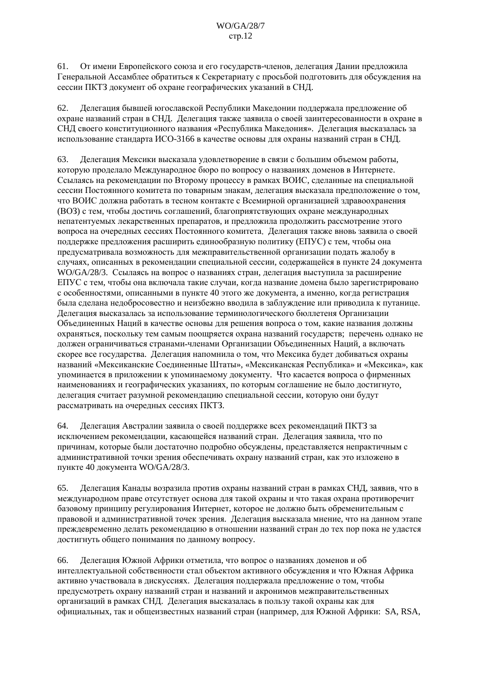От имени Европейского союза и его государств-членов, делегация Дании предложила  $61.$ Генеральной Ассамблее обратиться к Секретариату с просьбой подготовить для обсуждения на сессии ПКТЗ локумент об охране географических указаний в СНД.

Делегация бывшей югославской Республики Македонии поддержала предложение об 62. охране названий стран в СНД. Делегация также заявила о своей заинтересованности в охране в СНД своего конституционного названия «Республика Македония». Делегация высказалась за использование станларта ИСО-3166 в качестве основы для охраны названий стран в СНЛ.

Делегация Мексики высказала удовлетворение в связи с большим объемом работы, 63. которую проделало Международное бюро по вопросу о названиях доменов в Интернете. Ссылаясь на рекомендации по Второму процессу в рамках ВОИС, сделанные на специальной сессии Постоянного комитета по товарным знакам, делегация высказала предположение о том, что ВОИС должна работать в тесном контакте с Всемирной организацией здравоохранения (ВОЗ) с тем, чтобы лостичь соглашений, благоприятствующих охране межлународных непатентуемых лекарственных препаратов, и предложила продолжить рассмотрение этого вопроса на очередных сессиях Постоянного комитета. Делегация также вновь заявила о своей поддержке предложения расширить единообразную политику (ЕПУС) с тем, чтобы она предусматривала возможность для межправительственной организации подать жалобу в случаях, описанных в рекомендации специальной сессии, содержащейся в пункте 24 документа WO/GA/28/3. Ссылаясь на вопрос о названиях стран, лелегация выступила за расширение ЕПУС с тем, чтобы она включала такие случаи, когда название домена было зарегистрировано с особенностями, описанными в пункте 40 этого же документа, а именно, когда регистрация была сделана недобросовестно и неизбежно вводила в заблуждение или приводила к путанице. Делегация высказалась за использование терминологического бюллетеня Организации Объединенных Наций в качестве основы для решения вопроса о том, какие названия должны охраняться, поскольку тем самым поощряется охрана названий государств; перечень однако не должен ограничиваться странами-членами Организации Объединенных Наций, а включать скорее все государства. Делегация напомнила о том, что Мексика будет добиваться охраны названий «Мексиканские Соединенные Штаты», «Мексиканская Республика» и «Мексика», как упоминается в приложении к упоминаемому документу. Что касается вопроса о фирменных наименованиях и географических указаниях, по которым соглашение не было достигнуто, лелегация считает разумной рекоменлацию специальной сессии, которую они будут рассматривать на очередных сессиях ПКТЗ.

64. Делегация Австралии заявила о своей поддержке всех рекомендаций ПКТЗ за исключением рекомендации, касающейся названий стран. Делегация заявила, что по причинам, которые были достаточно подробно обсуждены, представляется непрактичным с административной точки зрения обеспечивать охрану названий стран, как это изложено в пункте 40 документа WO/GA/28/3.

Лелегация Каналы возразила против охраны названий стран в рамках СНЛ, заявив, что в 65. международном праве отсутствует основа для такой охраны и что такая охрана противоречит базовому принципу регулирования Интернет, которое не должно быть обременительным с правовой и административной точек зрения. Делегация высказала мнение, что на данном этапе прежлевременно лелать рекоменлацию в отношении названий стран ло тех пор пока не уластся достигнуть общего понимания по данному вопросу.

Делегация Южной Африки отметила, что вопрос о названиях доменов и об 66. интеллектуальной собственности стал объектом активного обсуждения и что Южная Африка активно участвовала в лискуссиях. Делегация поллержала предложение о том, чтобы предусмотреть охрану названий стран и названий и акронимов межправительственных организаций в рамках СНД. Делегация высказалась в пользу такой охраны как для официальных, так и общеизвестных названий стран (например, для Южной Африки: SA, RSA,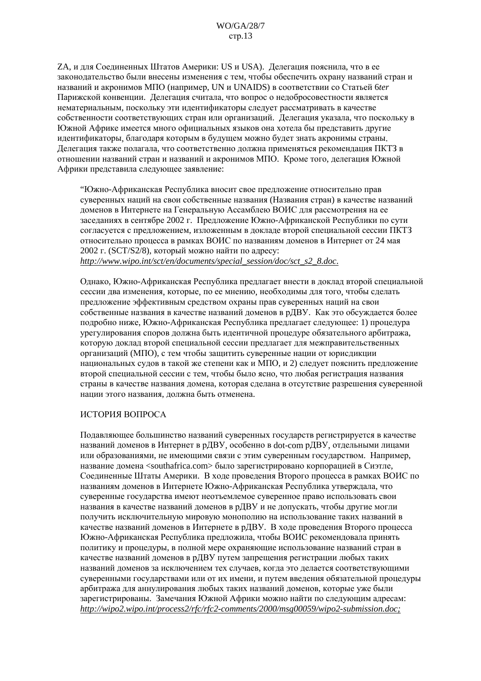ZA, и для Соединенных Штатов Америки: US и USA). Делегация пояснила, что в ее законодательство были внесены изменения с тем, чтобы обеспечить охрану названий стран и названий и акронимов МПО (например, UN и UNAIDS) в соответствии со Статьей бter Парижской конвенции. Делегация считала, что вопрос о недобросовестности является нематериальным, поскольку эти идентификаторы следует рассматривать в качестве собственности соответствующих стран или организаций. Делегация указала, что поскольку в Южной Африке имеется много официальных языков она хотела бы представить другие илентификаторы. благоларя которым в булушем можно булет знать акронимы страны. Делегация также полагала, что соответственно должна применяться рекомендация ПКТЗ в отношении названий стран и названий и акронимов МПО. Кроме того, делегация Южной Африки представила следующее заявление:

"Южно-Африканская Республика вносит свое предложение относительно прав суверенных наций на свои собственные названия (Названия стран) в качестве названий доменов в Интернете на Генеральную Ассамблею ВОИС для рассмотрения на ее заседаниях в сентябре 2002 г. Предложение Южно-Африканской Республики по сути согласуется с предложением, изложенным в докладе второй специальной сессии ПКТЗ относительно процесса в рамках ВОИС по названиям доменов в Интернет от 24 мая 2002 г. (SCT/S2/8), который можно найти по адресу: http://www.wipo.int/sct/en/documents/special session/doc/sct s2 8.doc.

Однако, Южно-Африканская Республика предлагает внести в доклад второй специальной сессии два изменения, которые, по ее мнению, необходимы для того, чтобы сделать предложение эффективным средством охраны прав суверенных наций на свои собственные названия в качестве названий доменов в рДВУ. Как это обсуждается более подробно ниже, Южно-Африканская Республика предлагает следующее: 1) процедура урегулирования споров должна быть идентичной процедуре обязательного арбитража. которую доклад второй специальной сессии предлагает для межправительственных организаций (МПО), с тем чтобы защитить суверенные нации от юрисдикции национальных судов в такой же степени как и МПО, и 2) следует пояснить предложение второй специальной сессии с тем, чтобы было ясно, что любая регистрация названия страны в качестве названия домена, которая сделана в отсутствие разрешения суверенной нации этого названия, должна быть отменена.

#### ИСТОРИЯ ВОПРОСА

Подавляющее большинство названий суверенных государств регистрируется в качестве названий доменов в Интернет в рДВУ, особенно в dot-com рДВУ, отдельными лицами или образованиями, не имеющими связи с этим суверенным государством. Например, название ломена <southafrica.com> было зарегистрировано корпорацией в Сиэтле. Соединенные Штаты Америки. В ходе проведения Второго процесса в рамках ВОИС по названиям доменов в Интернете Южно-Африканская Республика утверждала, что суверенные государства имеют неотъемлемое суверенное право использовать свои названия в качестве названий доменов в рДВУ и не допускать, чтобы другие могли получить исключительную мировую монополию на использование таких названий в качестве названий доменов в Интернете в рДВУ. В ходе проведения Второго процесса Южно-Африканская Республика предложила, чтобы ВОИС рекомендовала принять политику и процедуры, в полной мере охраняющие использование названий стран в качестве названий доменов в рДВУ путем запрещения регистрации любых таких названий ломенов за исключением тех случаев, когла это лелается соответствующими суверенными государствами или от их имени, и путем введения обязательной процедуры арбитража для аннулирования любых таких названий доменов, которые уже были зарегистрированы. Замечания Южной Африки можно найти по следующим адресам: http://wipo2.wipo.int/process2/rfc/rfc2-comments/2000/msg00059/wipo2-submission.doc: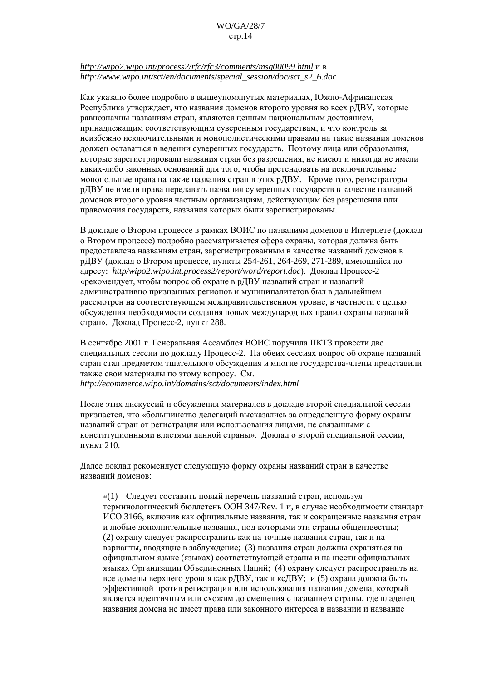#### $WO/GA/28/7$  $crp.14$

#### http://wipo2.wipo.int/process2/rfc/rfc3/comments/msg00099.html и в http://www.wipo.int/sct/en/documents/special session/doc/sct s2 6.doc

Как указано более подробно в вышеупомянутых материалах. Южно-Африканская Республика утверждает, что названия доменов второго уровня во всех рДВУ, которые равнозначны названиям стран, являются ценным национальным достоянием, принадлежащим соответствующим суверенным государствам, и что контроль за неизбежно исключительными и монополистическими правами на такие названия ломенов должен оставаться в ведении суверенных государств. Поэтому лица или образования, которые зарегистрировали названия стран без разрешения, не имеют и никогда не имели каких-либо законных оснований для того, чтобы претендовать на исключительные монопольные права на такие названия стран в этих рЛВУ. Кроме того, регистраторы рДВУ не имели права передавать названия суверенных государств в качестве названий доменов второго уровня частным организациям, действующим без разрешения или правомочия государств, названия которых были зарегистрированы.

В докладе о Втором процессе в рамках ВОИС по названиям доменов в Интернете (доклад о Втором процессе) подробно рассматривается сфера охраны, которая должна быть предоставлена названиям стран, зарегистрированным в качестве названий доменов в рДВУ (доклад о Втором процессе, пункты 254-261, 264-269, 271-289, имеющийся по адресу: http/wipo2.wipo.int.process2/report/word/report.doc). Доклад Процесс-2 «рекомендует, чтобы вопрос об охране в рДВУ названий стран и названий административно признанных регионов и муниципалитетов был в дальнейшем рассмотрен на соответствующем межправительственном уровне, в частности с целью обсуждения необходимости создания новых международных правил охраны названий стран». Доклад Процесс-2, пункт 288.

В сентябре 2001 г. Генеральная Ассамблея ВОИС поручила ПКТЗ провести две специальных сессии по докладу Процесс-2. На обеих сессиях вопрос об охране названий стран стал предметом тщательного обсуждения и многие государства-члены представили также свои материалы по этому вопросу. См. http://ecommerce.wipo.int/domains/sct/documents/index.html

После этих дискуссий и обсуждения материалов в докладе второй специальной сессии признается, что «большинство делегаций высказались за определенную форму охраны названий стран от регистрации или использования лицами, не связанными с конституционными властями данной страны». Доклад о второй специальной сессии, пункт 210.

Далее доклад рекомендует следующую форму охраны названий стран в качестве названий доменов:

«(1) Следует составить новый перечень названий стран, используя терминологический бюллетень ООН 347/Rev. 1 и, в случае необходимости стандарт ИСО 3166, включив как официальные названия, так и сокращенные названия стран и любые дополнительные названия, под которыми эти страны общеизвестны; (2) охрану следует распространить как на точные названия стран, так и на варианты, вводящие в заблуждение; (3) названия стран должны охраняться на официальном языке (языках) соответствующей страны и на шести официальных языках Организации Объединенных Наций; (4) охрану следует распространить на все домены верхнего уровня как рДВУ, так и ксДВУ; и (5) охрана должна быть эффективной против регистрации или использования названия домена, который является идентичным или схожим до смешения с названием страны, где владелец названия домена не имеет права или законного интереса в названии и название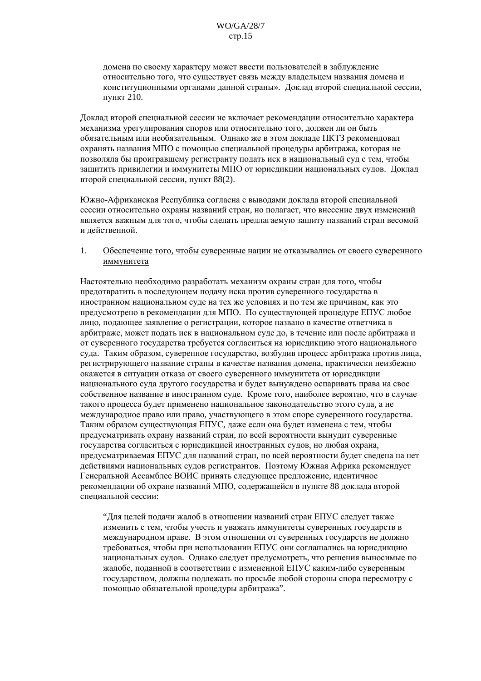домена по своему характеру может ввести пользователей в заблуждение относительно того, что существует связь между владельцем названия домена и конституционными органами данной страны». Доклад второй специальной сессии, пункт 210.

Доклад второй специальной сессии не включает рекомендации относительно характера механизма урегулирования споров или относительно того, должен ли он быть обязательным или необязательным. Олнако же в этом локлале ПКТЗ рекоменловал охранять названия МПО с помощью специальной процедуры арбитража, которая не позволяла бы проигравшему регистранту подать иск в национальный суд с тем, чтобы защитить привилегии и иммунитеты МПО от юрисдикции национальных судов. Доклад второй специальной сессии, пункт 88(2).

Южно-Африканская Республика согласна с выводами доклада второй специальной сессии относительно охраны названий стран, но полагает, что внесение двух изменений является важным для того, чтобы сделать предлагаемую защиту названий стран весомой и действенной.

#### Обеспечение того, чтобы суверенные нации не отказывались от своего суверенного  $\mathbf{1}$ иммунитета

Настоятельно необходимо разработать механизм охраны стран для того, чтобы предотвратить в последующем подачу иска против суверенного государства в иностранном национальном суде на тех же условиях и по тем же причинам, как это предусмотрено в рекомендации для МПО. По существующей процедуре ЕПУС любое лицо, подающее заявление о регистрации, которое названо в качестве ответчика в арбитраже, может полать иск в национальном суле до, в течение или после арбитража и от суверенного государства требуется согласиться на юрисдикцию этого национального суда. Таким образом, суверенное государство, возбудив процесс арбитража против лица, регистрирующего название страны в качестве названия домена, практически неизбежно окажется в ситуации отказа от своего суверенного иммунитета от юрисдикции национального суда другого государства и будет вынуждено оспаривать права на свое собственное название в иностранном суде. Кроме того, наиболее вероятно, что в случае такого процесса будет применено национальное законодательство этого суда, а не международное право или право, участвующего в этом споре суверенного государства. Таким образом существующая ЕПУС, даже если она будет изменена с тем, чтобы предусматривать охрану названий стран, по всей вероятности вынудит суверенные государства согласиться с юрисдикцией иностранных судов, но любая охрана, предусматриваемая ЕПУС для названий стран, по всей вероятности будет сведена на нет действиями национальных судов регистрантов. Поэтому Южная Африка рекомендует Генеральной Ассамблее ВОИС принять следующее предложение, идентичное рекоменлации об охране названий МПО, содержащейся в пункте 88 доклада второй специальной сессии:

"Для целей подачи жалоб в отношении названий стран ЕПУС следует также изменить с тем, чтобы учесть и уважать иммунитеты суверенных государств в международном праве. В этом отношении от суверенных государств не должно требоваться, чтобы при использовании ЕПУС они соглашались на юрисдикцию национальных судов. Однако следует предусмотреть, что решения выносимые по жалобе, поданной в соответствии с измененной ЕПУС каким-либо суверенным государством, должны подлежать по просьбе любой стороны спора пересмотру с помощью обязательной процедуры арбитража".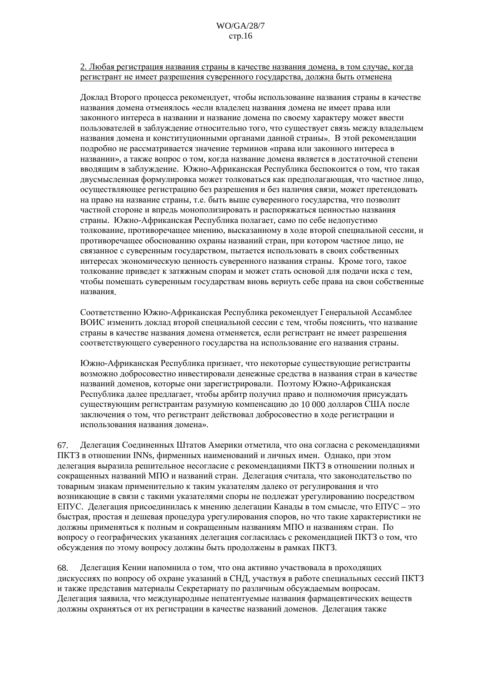2. Любая регистрация названия страны в качестве названия домена, в том случае, когда регистрант не имеет разрешения суверенного государства, должна быть отменена

Локлал Второго процесса рекомендует, чтобы использование названия страны в качестве названия домена отменялось «если владелец названия домена не имеет права или законного интереса в названии и название домена по своему характеру может ввести пользователей в заблуждение относительно того, что существует связь между владельцем названия ломена и конституционными органами ланной страны». В этой рекоменлации подробно не рассматривается значение терминов «права или законного интереса в названии», а также вопрос о том, когда название домена является в достаточной степени вводящим в заблуждение. Южно-Африканская Республика беспокоится о том, что такая лвусмысленная формулировка может толковаться как предполагающая, что частное лицо, осуществляющее регистрацию без разрешения и без наличия связи, может претендовать на право на название страны, т.е. быть выше суверенного государства, что позволит частной стороне и впредь монополизировать и распоряжаться ценностью названия страны. Южно-Африканская Республика полагает, само по себе недопустимо толкование, противоречащее мнению, высказанному в ходе второй специальной сессии, и противоречащее обоснованию охраны названий стран, при котором частное лицо, не связанное с суверенным государством, пытается использовать в своих собственных интересах экономическую ценность суверенного названия страны. Кроме того, такое толкование приведет к затяжным спорам и может стать основой для подачи иска с тем, чтобы помешать суверенным государствам вновь вернуть себе права на свои собственные названия.

Соответственно Южно-Африканская Республика рекомендует Генеральной Ассамблее ВОИС изменить доклад второй специальной сессии с тем, чтобы пояснить, что название страны в качестве названия ломена отменяется, если регистрант не имеет разрешения соответствующего суверенного государства на использование его названия страны.

Южно-Африканская Республика признает, что некоторые существующие регистранты возможно добросовестно инвестировали денежные средства в названия стран в качестве названий доменов, которые они зарегистрировали. Поэтому Южно-Африканская Республика далее предлагает, чтобы арбитр получил право и полномочия присуждать существующим регистрантам разумную компенсацию до 10 000 долларов США после заключения о том, что регистрант действовал добросовестно в ходе регистрации и использования названия домена».

67. Делегация Соединенных Штатов Америки отметила, что она согласна с рекомендациями ПКТЗ в отношении INNs, фирменных наименований и личных имен. Однако, при этом делегация выразила решительное несогласие с рекомендациями ПКТЗ в отношении полных и сокращенных названий МПО и названий стран. Делегация считала, что законодательство по товарным знакам применительно к таким указателям далеко от регулирования и что возникающие в связи с такими указателями споры не подлежат урегулированию посредством ЕПУС. Делегация присоединилась к мнению делегации Канады в том смысле, что ЕПУС – это быстрая, простая и дешевая процедура урегулирования споров, но что такие характеристики не должны применяться к полным и сокрашенным названиям МПО и названиям стран. По вопросу о географических указаниях делегация согласилась с рекомендацией ПКТЗ о том, что обсуждения по этому вопросу должны быть продолжены в рамках ПКТЗ.

Делегация Кении напомнила о том, что она активно участвовала в проходящих 68. дискуссиях по вопросу об охране указаний в СНД, участвуя в работе специальных сессий ПКТЗ и также представив материалы Секретариату по различным обсуждаемым вопросам. Делегация заявила, что международные непатентуемые названия фармацевтических веществ должны охраняться от их регистрации в качестве названий доменов. Делегация также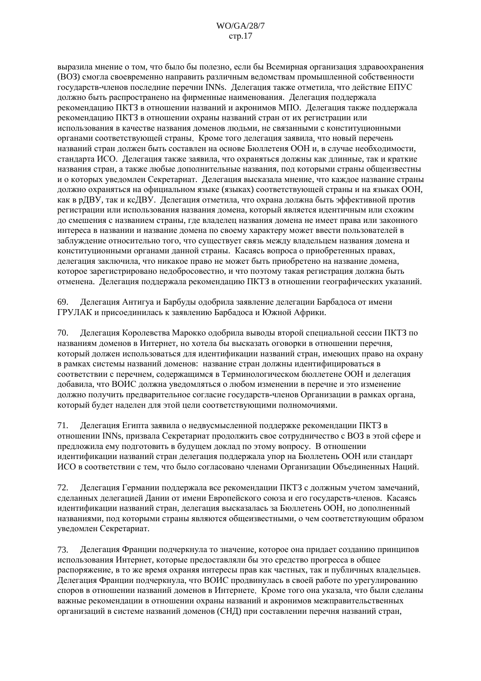#### $WO/GA/28/7$  $crp.17$

выразила мнение о том, что было бы полезно, если бы Всемирная организация здравоохранения (ВОЗ) смогла своевременно направить различным ведомствам промышленной собственности государств-членов последние перечни INNs. Делегация также отметила, что действие ЕПУС лолжно быть распространено на фирменные наименования. Лелегация поллержала рекомендацию ПКТЗ в отношении названий и акронимов МПО. Делегация также поддержала рекомендацию ПКТЗ в отношении охраны названий стран от их регистрации или использования в качестве названия доменов людьми, не связанными с конституционными органами соответствующей страны. Кроме того лелегация заявила, что новый перечень названий стран должен быть составлен на основе Бюллетеня ООН и, в случае необходимости, стандарта ИСО. Делегация также заявила, что охраняться должны как длинные, так и краткие названия стран, а также любые дополнительные названия, под которыми страны общеизвестны и о которых увеломлен Секретариат. Лелегация высказала мнение, что кажлое название страны должно охраняться на официальном языке (языках) соответствующей страны и на языках ООН, как в рДВУ, так и ксДВУ. Делегация отметила, что охрана должна быть эффективной против регистрации или использования названия домена, который является идентичным или схожим ло смешения с названием страны, гле владелец названия домена не имеет права или законного интереса в названии и название домена по своему характеру может ввести пользователей в заблуждение относительно того, что существует связь между владельцем названия домена и конституционными органами данной страны. Касаясь вопроса о приобретенных правах, делегация заключила, что никакое право не может быть приобретено на название домена, которое зарегистрировано недобросовестно, и что поэтому такая регистрация должна быть отменена. Делегация поддержала рекомендацию ПКТЗ в отношении географических указаний.

Делегация Антигуа и Барбулы одобрила заявление делегации Барбадоса от имени 69. ГРУЛАК и присоединилась к заявлению Барбадоса и Южной Африки.

70. Делегация Королевства Марокко одобрила выводы второй специальной сессии ПКТЗ по названиям доменов в Интернет, но хотела бы высказать оговорки в отношении перечня, который должен использоваться для идентификации названий стран, имеющих право на охрану в рамках системы названий доменов: название стран должны идентифицироваться в соответствии с перечнем, содержащимся в Терминологическом бюллетене ООН и делегация добавила, что ВОИС должна уведомляться о любом изменении в перечне и это изменение лолжно получить предварительное согласие государств-членов Организации в рамках органа. который булет наделен для этой цели соответствующими полномочиями.

Делегация Египта заявила о недвусмысленной поддержке рекомендации ПКТЗ в 71. отношении INNs, призвала Секретариат продолжить свое сотрудничество с ВОЗ в этой сфере и предложила ему подготовить в будущем доклад по этому вопросу. В отношении илентификации названий стран делегация поддержала упор на Бюллетень ООН или стандарт ИСО в соответствии с тем, что было согласовано членами Организации Объединенных Наций.

72. Делегация Германии поддержала все рекомендации ПКТЗ с должным учетом замечаний, сделанных делегацией Дании от имени Европейского союза и его государств-членов. Касаясь идентификации названий стран, делегация высказалась за Бюллетень ООН, но дополненный названиями, под которыми страны являются общеизвестными, о чем соответствующим образом увеломлен Секретариат.

73. Делегация Франции подчеркнула то значение, которое она придает созданию принципов использования Интернет, которые предоставляли бы это средство прогресса в общее распоряжение, в то же время охраняя интересы прав как частных, так и публичных владельцев. Лелегация Франции полчеркнула, что ВОИС продвинулась в своей работе по урегулированию споров в отношении названий доменов в Интернете. Кроме того она указала, что были следаны важные рекомендации в отношении охраны названий и акронимов межправительственных организаций в системе названий ломенов (СНЛ) при составлении перечня названий стран.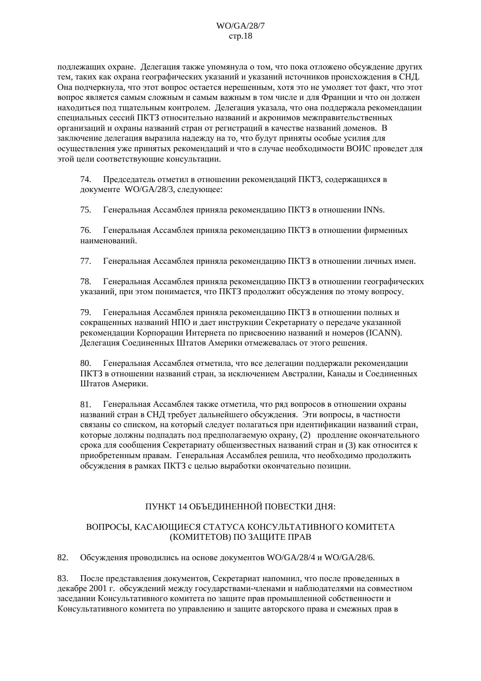подлежащих охране. Делегация также упомянула о том, что пока отложено обсуждение других тем, таких как охрана географических указаний и указаний источников происхождения в СНД. Она подчеркнула, что этот вопрос остается нерешенным, хотя это не умоляет тот факт, что этот вопрос является самым сложным и самым важным в том числе и для Франции и что он должен находиться под тщательным контролем. Делегация указала, что она поддержала рекомендации специальных сессий ПКТЗ относительно названий и акронимов межправительственных организаций и охраны названий стран от регистраций в качестве названий доменов. В заключение делегация выразила надежду на то, что будут приняты особые усилия для осуществления уже принятых рекомендаций и что в случае необходимости ВОИС проведет для этой цели соответствующие консультации.

Председатель отметил в отношении рекомендаций ПКТЗ, содержащихся в 74. документе WO/GA/28/3, следующее:

75. Генеральная Ассамблея приняла рекомендацию ПКТЗ в отношении INNs.

76. Генеральная Ассамблея приняла рекомендацию ПКТЗ в отношении фирменных наименований.

77. Генеральная Ассамблея приняла рекомендацию ПКТЗ в отношении личных имен.

78 Генеральная Ассамблея приняла рекомендацию ПКТЗ в отношении географических указаний, при этом понимается, что ПКТЗ продолжит обсуждения по этому вопросу.

79. Генеральная Ассамблея приняла рекомендацию ПКТЗ в отношении полных и сокращенных названий НПО и дает инструкции Секретариату о передаче указанной рекоменлации Корпорации Интернета по присвоению названий и номеров (ICANN). Делегация Соединенных Штатов Америки отмежевалась от этого решения.

80. Генеральная Ассамблея отметила, что все делегации поддержали рекомендации ПКТЗ в отношении названий стран, за исключением Австралии, Канады и Соединенных Штатов Америки.

Генеральная Ассамблея также отметила, что ряд вопросов в отношении охраны 81. названий стран в СНД требует дальнейшего обсуждения. Эти вопросы, в частности связаны со списком, на который следует полагаться при идентификации названий стран, которые должны подпадать под предполагаемую охрану, (2) продление окончательного срока для сообщения Секретариату общеизвестных названий стран и (3) как относится к приобретенным правам. Генеральная Ассамблея решила, что необходимо продолжить обсуждения в рамках ПКТЗ с целью выработки окончательно позиции.

# ПУНКТ 14 ОБЪЕДИНЕННОЙ ПОВЕСТКИ ДНЯ:

### ВОПРОСЫ, КАСАЮЩИЕСЯ СТАТУСА КОНСУЛЬТАТИВНОГО КОМИТЕТА (КОМИТЕТОВ) ПО ЗАЩИТЕ ПРАВ

82. Обсуждения проводились на основе документов WO/GA/28/4 и WO/GA/28/6.

83. После представления документов, Секретариат напомнил, что после проведенных в декабре 2001 г. обсуждений между государствами-членами и наблюдателями на совместном заседании Консультативного комитета по защите прав промышленной собственности и Консультативного комитета по управлению и защите авторского права и смежных прав в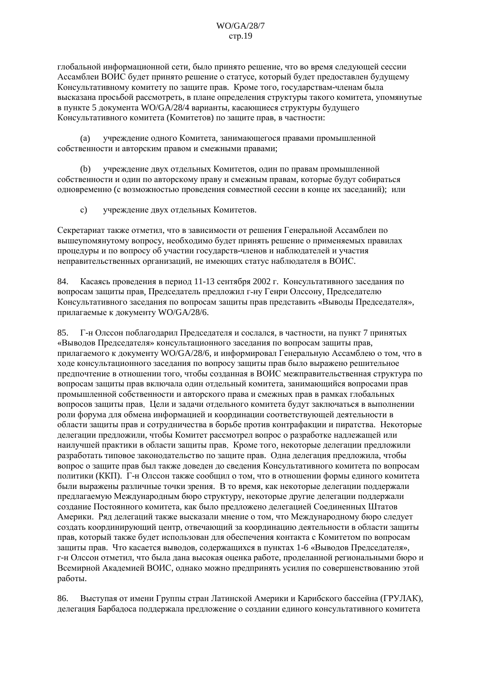глобальной информационной сети, было принято решение, что во время следующей сессии Ассамблеи ВОИС будет принято решение о статусе, который будет предоставлен будущему Консультативному комитету по защите прав. Кроме того, государствам-членам была высказана просьбой рассмотреть, в плане определения структуры такого комитета, упомянутые в пункте 5 документа WO/GA/28/4 варианты, касающиеся структуры будущего Консультативного комитета (Комитетов) по защите прав, в частности:

учрежление олного Комитета, занимающегося правами промышленной  $(a)$ собственности и авторским правом и смежными правами;

учреждение двух отдельных Комитетов, один по правам промышленной  $(h)$ собственности и один по авторскому праву и смежным правам, которые будут собираться одновременно (с возможностью проведения совместной сессии в конце их заседаний); или

учреждение двух отдельных Комитетов.  $\mathbf{c}$ )

Секретариат также отметил, что в зависимости от решения Генеральной Ассамблеи по вышеупомянутому вопросу, необходимо будет принять решение о применяемых правилах процедуры и по вопросу об участии государств-членов и наблюдателей и участия неправительственных организаций, не имеющих статус наблюдателя в ВОИС.

Касаясь проведения в период 11-13 сентября 2002 г. Консультативного заседания по 84. вопросам защиты прав. Председатель предложил г-ну Генри Олссону. Председателю Консультативного заседания по вопросам защиты прав представить «Выводы Председателя», прилагаемые к документу WO/GA/28/6.

Г-н Олесон поблаголарил Предселателя и сослался, в частности, на пункт 7 принятых 85. «Выволов Председателя» консультационного заседания по вопросам зашиты прав. прилагаемого к документу WO/GA/28/6, и информировал Генеральную Ассамблею о том, что в ходе консультационного заседания по вопросу защиты прав было выражено решительное предпочтение в отношении того, чтобы созданная в ВОИС межправительственная структура по вопросам защиты прав включала один отдельный комитета, занимающийся вопросами прав промышленной собственности и авторского права и смежных прав в рамках глобальных вопросов защиты прав. Цели и задачи отдельного комитета будут заключаться в выполнении роли форума для обмена информацией и координации соответствующей деятельности в области защиты прав и сотрудничества в борьбе против контрафакции и пиратства. Некоторые делегации предложили, чтобы Комитет рассмотрел вопрос о разработке надлежащей или наилучшей практики в области защиты прав. Кроме того, некоторые делегации предложили разработать типовое законодательство по защите прав. Одна делегация предложила, чтобы вопрос о защите прав был также доведен до сведения Консультативного комитета по вопросам политики (ККП). Г-н Олесон также сообщил о том, что в отношении формы единого комитета были выражены различные точки зрения. В то время, как некоторые делегации поддержали предлагаемую Международным бюро структуру, некоторые другие делегации поддержали создание Постоянного комитета, как было предложено делегацией Соединенных Штатов Америки. Ряд делегаций также высказали мнение о том, что Международному бюро следует создать координирующий центр, отвечающий за координацию деятельности в области защиты прав, который также будет использован для обеспечения контакта с Комитетом по вопросам защиты прав. Что касается выводов, содержащихся в пунктах 1-6 «Выводов Председателя», г-н Олссон отметил, что была дана высокая оценка работе, проделанной региональными бюро и Всемирной Академией ВОИС, однако можно предпринять усилия по совершенствованию этой работы.

Выступая от имени Группы стран Латинской Америки и Карибского бассейна (ГРУЛАК), 86. делегация Барбадоса поддержала предложение о создании единого консультативного комитета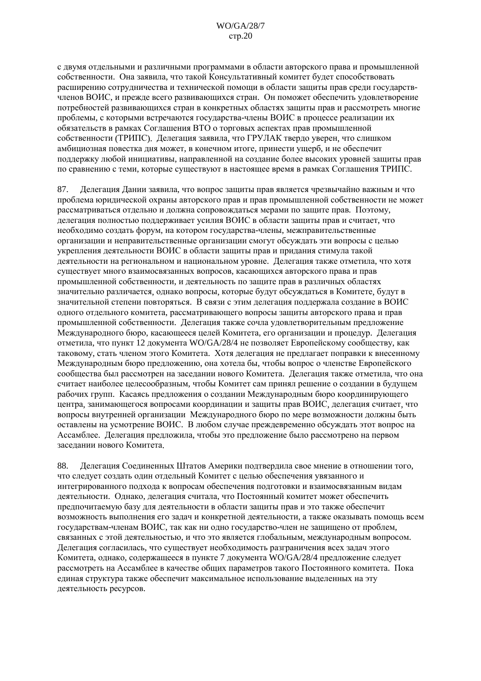с двумя отдельными и различными программами в области авторского права и промышленной собственности. Она заявила, что такой Консультативный комитет будет способствовать расширению сотрудничества и технической помощи в области зашиты прав среди государствчленов ВОИС, и прежде всего развивающихся стран. Он поможет обеспечить удовлетворение потребностей развивающихся стран в конкретных областях защиты прав и рассмотреть многие проблемы, с которыми встречаются государства-члены ВОИС в процессе реализации их обязательств в рамках Соглашения ВТО о торговых аспектах прав промышленной собственности (ТРИПС). Лелегация заявила, что ГРУЛАК тверло уверен, что слишком амбициозная повестка дня может, в конечном итоге, принести ущерб, и не обеспечит поддержку любой инициативы, направленной на создание более высоких уровней защиты прав по сравнению с теми, которые существуют в настоящее время в рамках Соглашения ТРИПС.

87. Делегация Дании заявила, что вопрос защиты прав является чрезвычайно важным и что проблема юридической охраны авторского прав и прав промышленной собственности не может рассматриваться отдельно и должна сопровождаться мерами по защите прав. Поэтому, делегация полностью поддерживает усилия ВОИС в области защиты прав и считает. что необходимо создать форум, на котором государства-члены, межправительственные организации и неправительственные организации смогут обсуждать эти вопросы с целью укрепления деятельности ВОИС в области защиты прав и придания стимула такой деятельности на региональном и национальном уровне. Делегация также отметила, что хотя существует много взаимосвязанных вопросов, касающихся авторского права и прав промышленной собственности, и деятельность по защите прав в различных областях значительно различается, однако вопросы, которые будут обсуждаться в Комитете, будут в значительной степени повторяться. В связи с этим делегация поддержала создание в ВОИС одного отдельного комитета, рассматривающего вопросы защиты авторского права и прав промышленной собственности. Делегация также сочла удовлетворительным предложение Международного бюро, касающееся целей Комитета, его организации и процедур. Делегация отметила, что пункт 12 документа WO/GA/28/4 не позволяет Европейскому сообществу, как таковому, стать членом этого Комитета. Хотя делегация не предлагает поправки к внесенному Международным бюро предложению, она хотела бы, чтобы вопрос о членстве Европейского сообщества был рассмотрен на заседании нового Комитета. Делегация также отметила, что она считает наиболее целесообразным, чтобы Комитет сам принял решение о создании в будущем рабочих групп. Касаясь предложения о создании Международным бюро координирующего центра, занимающегося вопросами координации и защиты прав ВОИС, делегация считает, что вопросы внутренней организации Международного бюро по мере возможности должны быть оставлены на усмотрение ВОИС. В любом случае преждевременно обсуждать этот вопрос на Ассамблее. Делегация предложила, чтобы это предложение было рассмотрено на первом заселании нового Комитета.

Делегация Соединенных Штатов Америки подтвердила свое мнение в отношении того, 88. что следует создать один отдельный Комитет с целью обеспечения увязанного и интегрированного подхода к вопросам обеспечения подготовки и взаимосвязанным видам деятельности. Однако, делегация считала, что Постоянный комитет может обеспечить предпочитаемую базу для деятельности в области защиты прав и это также обеспечит возможность выполнения его задач и конкретной деятельности, а также оказывать помощь всем государствам-членам ВОИС, так как ни одно государство-член не защищено от проблем, связанных с этой деятельностью, и что это является глобальным, международным вопросом. Делегация согласилась, что существует необходимость разграничения всех задач этого Комитета, однако, содержащееся в пункте 7 документа WO/GA/28/4 предложение следует рассмотреть на Ассамблее в качестве общих параметров такого Постоянного комитета. Пока единая структура также обеспечит максимальное использование выделенных на эту деятельность ресурсов.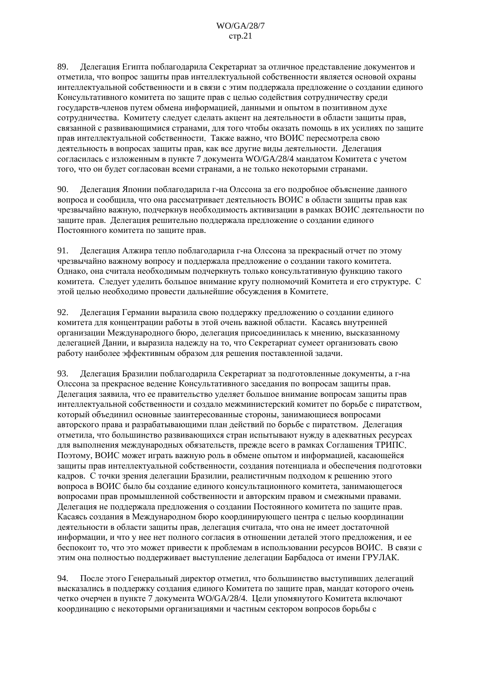89. Делегация Египта поблагодарила Секретариат за отличное представление документов и отметила, что вопрос защиты прав интеллектуальной собственности является основой охраны интеллектуальной собственности и в связи с этим поддержала предложение о создании единого Консультативного комитета по зашите прав с целью солействия сотрудничеству среди государств-членов путем обмена информацией, данными и опытом в позитивном духе сотрудничества. Комитету следует сделать акцент на деятельности в области защиты прав, связанной с развивающимися странами, для того чтобы оказать помощь в их усилиях по защите прав интеллектуальной собственности. Также важно, что ВОИС пересмотрела свою деятельность в вопросах защиты прав, как все другие виды деятельности. Делегация согласилась с изложенным в пункте 7 документа WO/GA/28/4 мандатом Комитета с учетом того, что он будет согласован всеми странами, а не только некоторыми странами.

90. Делегация Японии поблагодарила г-на Олссона за его подробное объяснение данного вопроса и сообщила, что она рассматривает деятельность ВОИС в области защиты прав как чрезвычайно важную, подчеркнув необходимость активизации в рамках ВОИС деятельности по защите прав. Делегация решительно поддержала предложение о создании единого Постоянного комитета по защите прав.

Делегация Алжира тепло поблагодарила г-на Олссона за прекрасный отчет по этому 91. чрезвычайно важному вопросу и поддержала предложение о создании такого комитета. Однако, она считала необходимым подчеркнуть только консультативную функцию такого комитета. Следует уделить большое внимание кругу полномочий Комитета и его структуре. С этой целью необходимо провести дальнейшие обсуждения в Комитете.

Делегация Германии выразила свою поддержку предложению о создании единого 92. комитета лля концентрации работы в этой очень важной области. Касаясь внутренней организации Международного бюро, делегация присоединилась к мнению, высказанному делегацией Дании, и выразила надежду на то, что Секретариат сумеет организовать свою работу наиболее эффективным образом для решения поставленной задачи.

93. Делегация Бразилии поблагодарила Секретариат за подготовленные документы, а г-на Олссона за прекрасное ведение Консультативного заседания по вопросам защиты прав. Делегация заявила, что ее правительство уделяет большое внимание вопросам защиты прав интеллектуальной собственности и создало межминистерский комитет по борьбе с пиратством, который объединил основные заинтересованные стороны, занимающиеся вопросами авторского права и разрабатывающими план действий по борьбе с пиратством. Делегация отметила, что большинство развивающихся стран испытывают нужду в адекватных ресурсах для выполнения международных обязательств, прежде всего в рамках Соглашения ТРИПС. Поэтому, ВОИС может играть важную роль в обмене опытом и информацией, касающейся зашиты прав интеллектуальной собственности, созлания потенциала и обеспечения полготовки кадров. С точки зрения делегации Бразилии, реалистичным подходом к решению этого вопроса в ВОИС было бы создание единого консультационного комитета, занимающегося вопросами прав промышленной собственности и авторским правом и смежными правами. Делегация не поддержала предложения о создании Постоянного комитета по защите прав. Касаясь создания в Международном бюро координирующего центра с целью координации деятельности в области защиты прав, делегация считала, что она не имеет достаточной информации, и что у нее нет полного согласия в отношении деталей этого предложения, и ее беспокоит то, что это может привести к проблемам в использовании ресурсов ВОИС. В связи с этим она полностью поддерживает выступление делегации Барбадоса от имени ГРУЛАК.

94. После этого Генеральный директор отметил, что большинство выступивших делегаций высказались в поддержку создания единого Комитета по защите прав, мандат которого очень четко очерчен в пункте 7 документа WO/GA/28/4. Цели упомянутого Комитета включают координацию с некоторыми организациями и частным сектором вопросов борьбы с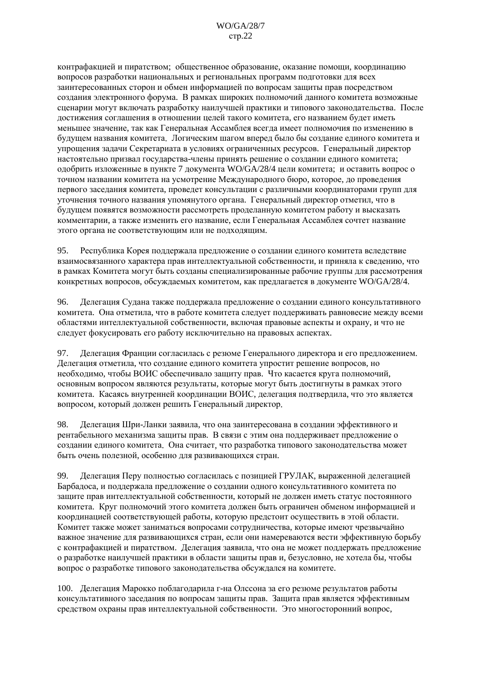контрафакцией и пиратством; общественное образование, оказание помощи, координацию вопросов разработки национальных и региональных программ подготовки для всех заинтересованных сторон и обмен информацией по вопросам защиты прав посредством создания электронного форума. В рамках широких полномочий данного комитета возможные сценарии могут включать разработку наилучшей практики и типового законодательства. После достижения соглашения в отношении целей такого комитета, его названием будет иметь меньшее значение, так как Генеральная Ассамблея всегда имеет полномочия по изменению в булушем названия комитета. Логическим шагом вперел было бы созлание елиного комитета и упрощения задачи Секретариата в условиях ограниченных ресурсов. Генеральный директор настоятельно призвал государства-члены принять решение о создании единого комитета; одобрить изложенные в пункте 7 документа WO/GA/28/4 цели комитета; и оставить вопрос о точном названии комитета на усмотрение Международного бюро, которое, до проведения первого заседания комитета, проведет консультации с различными координаторами групп для уточнения точного названия упомянутого органа. Генеральный директор отметил, что в будущем появятся возможности рассмотреть проделанную комитетом работу и высказать комментарии, а также изменить его название, если Генеральная Ассамблея сочтет название этого органа не соответствующим или не подходящим.

Республика Корея поддержала предложение о создании единого комитета вследствие 95. взаимосвязанного характера прав интеллектуальной собственности, и приняла к сведению, что в рамках Комитета могут быть созданы специализированные рабочие группы для рассмотрения конкретных вопросов, обсужлаемых комитетом, как преллагается в локументе WO/GA/28/4.

96. Делегация Судана также поддержала предложение о создании единого консультативного комитета. Она отметила, что в работе комитета следует поддерживать равновесие между всеми областями интеллектуальной собственности, включая правовые аспекты и охрану, и что не следует фокусировать его работу исключительно на правовых аспектах.

97. Делегация Франции согласилась с резюме Генерального директора и его предложением. Делегация отметила, что создание единого комитета упростит решение вопросов, но необходимо, чтобы ВОИС обеспечивало защиту прав. Что касается круга полномочий, основным вопросом являются результаты, которые могут быть достигнуты в рамках этого комитета. Касаясь внутренней координации ВОИС, делегация подтвердила, что это является вопросом, который должен решить Генеральный директор.

98. Делегация Шри-Ланки заявила, что она заинтересована в создании эффективного и рентабельного механизма защиты прав. В связи с этим она поддерживает предложение о создании единого комитета. Она считает, что разработка типового законодательства может быть очень полезной, особенно для развивающихся стран.

Лелегация Перу полностью согласилась с позицией ГРУЛАК, выраженной лелегацией 99. Барбалоса, и поддержала предложение о создании одного консультативного комитета по защите прав интеллектуальной собственности, который не должен иметь статус постоянного комитета. Круг полномочий этого комитета должен быть ограничен обменом информацией и координацией соответствующей работы, которую предстоит осуществить в этой области. Комитет также может заниматься вопросами сотрудничества, которые имеют чрезвычайно важное значение для развивающихся стран, если они намереваются вести эффективную борьбу с контрафакцией и пиратством. Делегация заявила, что она не может поддержать предложение о разработке наилучшей практики в области защиты прав и, безусловно, не хотела бы, чтобы вопрос о разработке типового законодательства обсуждался на комитете.

100. Делегация Марокко поблагодарила г-на Олссона за его резюме результатов работы консультативного заседания по вопросам защиты прав. Защита прав является эффективным средством охраны прав интеллектуальной собственности. Это многосторонний вопрос,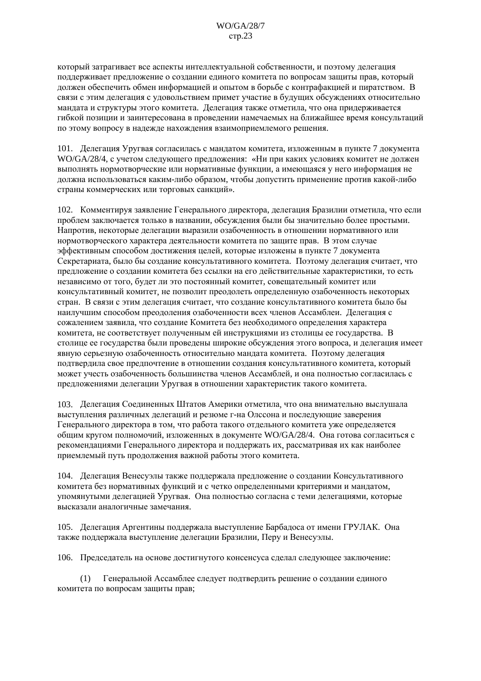который затрагивает все аспекты интеллектуальной собственности, и поэтому делегация поддерживает предложение о создании единого комитета по вопросам защиты прав, который должен обеспечить обмен информацией и опытом в борьбе с контрафакцией и пиратством. В связи с этим делегация с удовольствием примет участие в будущих обсуждениях относительно мандата и структуры этого комитета. Делегация также отметила, что она придерживается гибкой позиции и заинтересована в проведении намечаемых на ближайшее время консультаций по этому вопросу в надежде нахождения взаимоприемлемого решения.

101. Делегация Уругвая согласилась с мандатом комитета, изложенным в пункте 7 документа WO/GA/28/4, с учетом следующего предложения: «Ни при каких условиях комитет не должен выполнять нормотворческие или нормативные функции, а имеющаяся у него информация не должна использоваться каким-либо образом, чтобы допустить применение против какой-либо страны коммерческих или торговых санкций».

102. Комментируя заявление Генерального директора, делегация Бразилии отметила, что если проблем заключается только в названии, обсуждения были бы значительно более простыми. Напротив, некоторые делегации выразили озабоченность в отношении нормативного или нормотворческого характера леятельности комитета по зашите прав. В этом случае эффективным способом достижения целей, которые изложены в пункте 7 документа Секретариата, было бы создание консультативного комитета. Поэтому делегация считает, что предложение о создании комитета без ссылки на его действительные характеристики, то есть независимо от того, будет ли это постоянный комитет, совещательный комитет или консультативный комитет, не позволит преодолеть определенную озабоченность некоторых стран. В связи с этим делегация считает, что создание консультативного комитета было бы наилучшим способом преодоления озабоченности всех членов Ассамблеи. Делегация с сожалением заявила, что создание Комитета без необходимого определения характера комитета, не соответствует полученным ей инструкциями из столицы ее государства. В столице ее государства были проведены широкие обсуждения этого вопроса, и делегация имеет явную серьезную озабоченность относительно мандата комитета. Поэтому делегация подтвердила свое предпочтение в отношении создания консультативного комитета, который может учесть озабоченность большинства членов Ассамблей, и она полностью согласилась с предложениями делегации Уругвая в отношении характеристик такого комитета.

103. Делегация Соединенных Штатов Америки отметила, что она внимательно выслушала выступления различных делегаций и резюме г-на Олесона и последующие заверения Генерального директора в том, что работа такого отдельного комитета уже определяется общим кругом полномочий, изложенных в документе WO/GA/28/4. Она готова согласиться с рекомендациями Генерального директора и поддержать их, рассматривая их как наиболее приемлемый путь продолжения важной работы этого комитета.

104. Делегация Венесуэлы также поддержала предложение о создании Консультативного комитета без нормативных функций и с четко определенными критериями и манлатом. упомянутыми делегацией Уругвая. Она полностью согласна с теми делегациями, которые высказали аналогичные замечания.

105. Делегация Аргентины поддержала выступление Барбадоса от имени ГРУЛАК. Она также поддержала выступление делегации Бразилии, Перу и Венесуэлы.

106. Председатель на основе достигнутого консенсуса сделал следующее заключение:

Генеральной Ассамблее следует подтвердить решение о создании единого  $(1)$ комитета по вопросам защиты прав;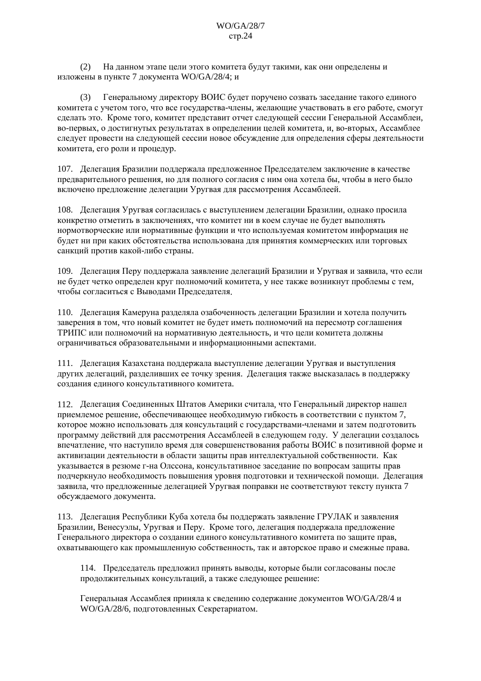$(2)$ На данном этапе цели этого комитета будут такими, как они определены и изложены в пункте 7 документа WO/GA/28/4; и

Генеральному директору ВОИС будет поручено созвать заседание такого единого  $(3)$ комитета с учетом того, что все государства-члены, желающие участвовать в его работе, смогут сделать это. Кроме того, комитет представит отчет следующей сессии Генеральной Ассамблеи, во-первых, о достигнутых результатах в определении целей комитета, и, во-вторых, Ассамблее слелует провести на слелующей сессии новое обсужление лля опрелеления сферы леятельности комитета, его роли и процедур.

107. Делегация Бразилии поддержала предложенное Председателем заключение в качестве предварительного решения, но для полного согласия с ним она хотела бы, чтобы в него было включено предложение делегации Уругвая для рассмотрения Ассамблеей.

108. Делегация Уругвая согласилась с выступлением делегации Бразилии, однако просила конкретно отметить в заключениях, что комитет ни в коем случае не будет выполнять нормотворческие или нормативные функции и что используемая комитетом информация не будет ни при каких обстоятельства использована для принятия коммерческих или торговых санкций против какой-либо страны.

109. Делегация Перу поддержала заявление делегаций Бразилии и Уругвая и заявила, что если не будет четко определен круг полномочий комитета, у нее также возникнут проблемы с тем, чтобы согласиться с Выводами Председателя.

110. Делегация Камеруна разделяла озабоченность делегации Бразилии и хотела получить заверения в том, что новый комитет не будет иметь полномочий на пересмотр соглашения ТРИПС или полномочий на нормативную деятельность, и что цели комитета должны ограничиваться образовательными и информационными аспектами.

111. Делегация Казахстана поддержала выступление делегации Уругвая и выступления других делегаций, разделивших ее точку зрения. Делегация также высказалась в поддержку создания единого консультативного комитета.

112. Делегация Соединенных Штатов Америки считала, что Генеральный директор нашел приемлемое решение, обеспечивающее необходимую гибкость в соответствии с пунктом 7, которое можно использовать для консультаций с государствами-членами и затем подготовить программу действий для рассмотрения Ассамблеей в следующем году. У делегации создалось впечатление, что наступило время для совершенствования работы ВОИС в позитивной форме и активизации деятельности в области защиты прав интеллектуальной собственности. Как указывается в резюме г-на Олссона, консультативное заселание по вопросам зашиты прав подчеркнуло необходимость повышения уровня подготовки и технической помощи. Делегация заявила, что прелложенные делегацией Уругвая поправки не соответствуют тексту пункта 7 обсуждаемого документа.

113. Делегация Республики Куба хотела бы поддержать заявление ГРУЛАК и заявления Бразилии, Венесуэлы, Уругвая и Перу. Кроме того, делегация поддержала предложение Генерального директора о создании единого консультативного комитета по защите прав, охватывающего как промышленную собственность, так и авторское право и смежные права.

114. Председатель предложил принять выводы, которые были согласованы после продолжительных консультаций, а также следующее решение:

Генеральная Ассамблея приняла к сведению содержание документов WO/GA/28/4 и WO/GA/28/6, подготовленных Секретариатом.